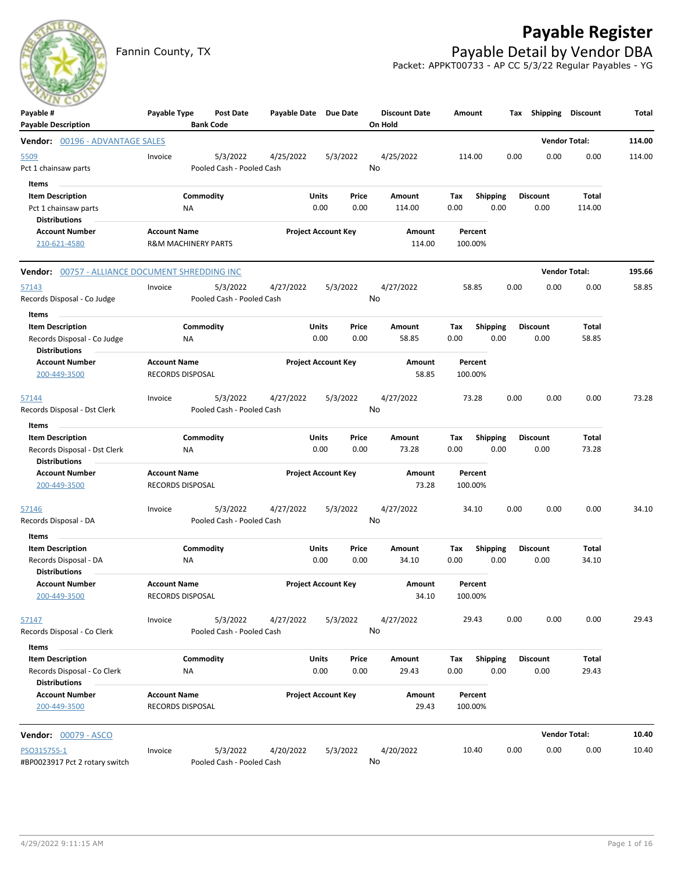## **Payable Register**



Fannin County, TX **Payable Detail by Vendor DBA** Packet: APPKT00733 - AP CC 5/3/22 Regular Payables - YG

| $\sim$ $\sim$<br>Payable #<br><b>Payable Description</b>                                | Payable Type                                          | Post Date<br><b>Bank Code</b>         | Payable Date Due Date |                                | <b>Discount Date</b><br>On Hold | Amount             |                         | Tax Shipping Discount   |                      | Total  |
|-----------------------------------------------------------------------------------------|-------------------------------------------------------|---------------------------------------|-----------------------|--------------------------------|---------------------------------|--------------------|-------------------------|-------------------------|----------------------|--------|
| Vendor: 00196 - ADVANTAGE SALES                                                         |                                                       |                                       |                       |                                |                                 |                    |                         |                         | <b>Vendor Total:</b> | 114.00 |
| 5509<br>Pct 1 chainsaw parts                                                            | Invoice                                               | 5/3/2022<br>Pooled Cash - Pooled Cash | 4/25/2022             | 5/3/2022                       | 4/25/2022<br>No                 | 114.00             | 0.00                    | 0.00                    | 0.00                 | 114.00 |
| Items<br><b>Item Description</b><br>Pct 1 chainsaw parts<br><b>Distributions</b>        | ΝA                                                    | Commodity                             |                       | Units<br>Price<br>0.00<br>0.00 | Amount<br>114.00                | Tax<br>0.00        | <b>Shipping</b><br>0.00 | <b>Discount</b><br>0.00 | Total<br>114.00      |        |
| <b>Account Number</b><br>210-621-4580                                                   | <b>Account Name</b><br><b>R&amp;M MACHINERY PARTS</b> |                                       |                       | <b>Project Account Key</b>     | Amount<br>114.00                | Percent<br>100.00% |                         |                         |                      |        |
| Vendor: 00757 - ALLIANCE DOCUMENT SHREDDING INC                                         |                                                       |                                       |                       |                                |                                 |                    |                         |                         | <b>Vendor Total:</b> | 195.66 |
| <u>57143</u><br>Records Disposal - Co Judge                                             | Invoice                                               | 5/3/2022<br>Pooled Cash - Pooled Cash | 4/27/2022             | 5/3/2022                       | 4/27/2022<br>No                 | 58.85              | 0.00                    | 0.00                    | 0.00                 | 58.85  |
| Items<br><b>Item Description</b><br>Records Disposal - Co Judge<br><b>Distributions</b> | ΝA                                                    | Commodity                             |                       | Units<br>Price<br>0.00<br>0.00 | Amount<br>58.85                 | Tax<br>0.00        | Shipping<br>0.00        | <b>Discount</b><br>0.00 | Total<br>58.85       |        |
| <b>Account Number</b><br>200-449-3500                                                   | <b>Account Name</b><br><b>RECORDS DISPOSAL</b>        |                                       |                       | <b>Project Account Key</b>     | Amount<br>58.85                 | Percent<br>100.00% |                         |                         |                      |        |
| 57144<br>Records Disposal - Dst Clerk                                                   | Invoice                                               | 5/3/2022<br>Pooled Cash - Pooled Cash | 4/27/2022             | 5/3/2022                       | 4/27/2022<br>No                 | 73.28              | 0.00                    | 0.00                    | 0.00                 | 73.28  |
| Items<br><b>Item Description</b>                                                        |                                                       | Commodity                             |                       | Units<br>Price                 | Amount                          | Tax                | <b>Shipping</b>         | <b>Discount</b>         | Total                |        |
| Records Disposal - Dst Clerk<br><b>Distributions</b>                                    | ΝA                                                    |                                       |                       | 0.00<br>0.00                   | 73.28                           | 0.00               | 0.00                    | 0.00                    | 73.28                |        |
| <b>Account Number</b><br>200-449-3500                                                   | <b>Account Name</b><br><b>RECORDS DISPOSAL</b>        |                                       |                       | <b>Project Account Key</b>     | Amount<br>73.28                 | Percent<br>100.00% |                         |                         |                      |        |
| 57146<br>Records Disposal - DA                                                          | Invoice                                               | 5/3/2022<br>Pooled Cash - Pooled Cash | 4/27/2022             | 5/3/2022                       | 4/27/2022<br>No                 | 34.10              | 0.00                    | 0.00                    | 0.00                 | 34.10  |
| Items<br><b>Item Description</b>                                                        |                                                       | Commodity                             |                       | Units<br>Price                 | Amount                          | Tax                | <b>Shipping</b>         | <b>Discount</b>         | Total                |        |
| Records Disposal - DA<br><b>Distributions</b>                                           | ΝA                                                    |                                       |                       | 0.00<br>0.00                   | 34.10                           | 0.00               | 0.00                    | 0.00                    | 34.10                |        |
| <b>Account Number</b><br>200-449-3500                                                   | <b>Account Name</b><br>RECORDS DISPOSAL               |                                       |                       | <b>Project Account Key</b>     | Amount<br>34.10                 | Percent<br>100.00% |                         |                         |                      |        |
| 57147<br>Records Disposal - Co Clerk                                                    | Invoice                                               | 5/3/2022<br>Pooled Cash - Pooled Cash | 4/27/2022             | 5/3/2022                       | 4/27/2022<br>No                 | 29.43              | 0.00                    | 0.00                    | 0.00                 | 29.43  |
| Items                                                                                   |                                                       |                                       |                       |                                |                                 |                    |                         |                         |                      |        |
| <b>Item Description</b><br>Records Disposal - Co Clerk<br><b>Distributions</b>          | ΝA                                                    | Commodity                             |                       | Units<br>Price<br>0.00<br>0.00 | Amount<br>29.43                 | Tax<br>0.00        | <b>Shipping</b><br>0.00 | <b>Discount</b><br>0.00 | Total<br>29.43       |        |
| <b>Account Number</b><br>200-449-3500                                                   | <b>Account Name</b><br>RECORDS DISPOSAL               |                                       |                       | <b>Project Account Key</b>     | Amount<br>29.43                 | Percent<br>100.00% |                         |                         |                      |        |
| <b>Vendor:</b> 00079 - ASCO                                                             |                                                       |                                       |                       |                                |                                 |                    |                         |                         | <b>Vendor Total:</b> | 10.40  |
| PSO315755-1<br>#BP0023917 Pct 2 rotary switch                                           | Invoice                                               | 5/3/2022<br>Pooled Cash - Pooled Cash | 4/20/2022             | 5/3/2022                       | 4/20/2022<br>No                 | 10.40              | 0.00                    | 0.00                    | 0.00                 | 10.40  |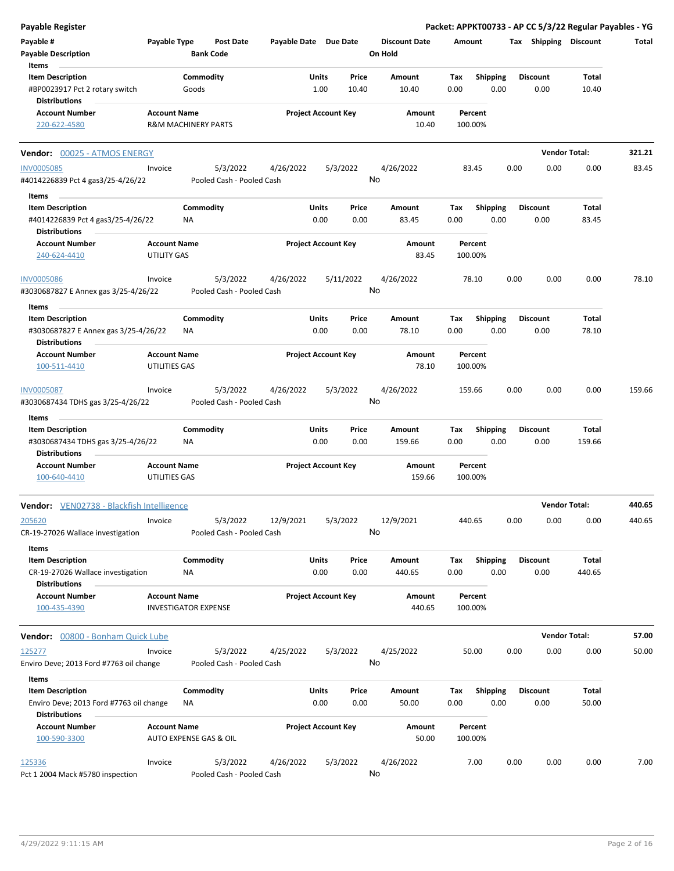| <b>Payable Register</b>                                         |                                    |                                |                           |                       |       |                            |                      |        |                    |      |                       | Packet: APPKT00733 - AP CC 5/3/22 Regular Payables - YG |        |
|-----------------------------------------------------------------|------------------------------------|--------------------------------|---------------------------|-----------------------|-------|----------------------------|----------------------|--------|--------------------|------|-----------------------|---------------------------------------------------------|--------|
| Payable #                                                       | Payable Type                       |                                | <b>Post Date</b>          | Payable Date Due Date |       |                            | <b>Discount Date</b> | Amount |                    |      | Tax Shipping Discount |                                                         | Total  |
| <b>Payable Description</b>                                      |                                    | <b>Bank Code</b>               |                           |                       |       |                            | On Hold              |        |                    |      |                       |                                                         |        |
| Items                                                           |                                    |                                |                           |                       |       |                            |                      |        |                    |      |                       |                                                         |        |
| <b>Item Description</b>                                         |                                    | Commodity                      |                           |                       | Units | Price                      | Amount               | Tax    | <b>Shipping</b>    |      | <b>Discount</b>       | Total                                                   |        |
| #BP0023917 Pct 2 rotary switch<br><b>Distributions</b>          |                                    | Goods                          |                           |                       | 1.00  | 10.40                      | 10.40                | 0.00   | 0.00               |      | 0.00                  | 10.40                                                   |        |
| <b>Account Number</b>                                           | <b>Account Name</b>                |                                |                           |                       |       | <b>Project Account Key</b> | Amount               |        | Percent            |      |                       |                                                         |        |
| 220-622-4580                                                    |                                    | <b>R&amp;M MACHINERY PARTS</b> |                           |                       |       |                            | 10.40                |        | 100.00%            |      |                       |                                                         |        |
| Vendor: 00025 - ATMOS ENERGY                                    |                                    |                                |                           |                       |       |                            |                      |        |                    |      |                       | <b>Vendor Total:</b>                                    | 321.21 |
| <b>INV0005085</b>                                               | Invoice                            |                                | 5/3/2022                  | 4/26/2022             |       | 5/3/2022                   | 4/26/2022            |        | 83.45              | 0.00 | 0.00                  | 0.00                                                    | 83.45  |
| #4014226839 Pct 4 gas3/25-4/26/22                               |                                    |                                | Pooled Cash - Pooled Cash |                       |       |                            | No                   |        |                    |      |                       |                                                         |        |
| Items                                                           |                                    |                                |                           |                       |       |                            |                      |        |                    |      |                       |                                                         |        |
| <b>Item Description</b>                                         |                                    | Commodity                      |                           |                       | Units | Price                      | Amount               | Tax    | <b>Shipping</b>    |      | <b>Discount</b>       | Total                                                   |        |
| #4014226839 Pct 4 gas3/25-4/26/22                               |                                    | ΝA                             |                           |                       | 0.00  | 0.00                       | 83.45                | 0.00   | 0.00               |      | 0.00                  | 83.45                                                   |        |
| <b>Distributions</b>                                            |                                    |                                |                           |                       |       |                            |                      |        |                    |      |                       |                                                         |        |
| <b>Account Number</b><br>240-624-4410                           | <b>Account Name</b><br>UTILITY GAS |                                |                           |                       |       | <b>Project Account Key</b> | Amount<br>83.45      |        | Percent<br>100.00% |      |                       |                                                         |        |
| <b>INV0005086</b>                                               | Invoice                            |                                | 5/3/2022                  | 4/26/2022             |       | 5/11/2022                  | 4/26/2022            |        | 78.10              | 0.00 | 0.00                  | 0.00                                                    | 78.10  |
| #3030687827 E Annex gas 3/25-4/26/22                            |                                    |                                | Pooled Cash - Pooled Cash |                       |       |                            | No                   |        |                    |      |                       |                                                         |        |
| Items                                                           |                                    |                                |                           |                       |       |                            |                      |        |                    |      |                       |                                                         |        |
| <b>Item Description</b>                                         |                                    | Commodity                      |                           |                       | Units | Price                      | Amount               | Tax    | <b>Shipping</b>    |      | <b>Discount</b>       | Total                                                   |        |
| #3030687827 E Annex gas 3/25-4/26/22                            |                                    | ΝA                             |                           |                       | 0.00  | 0.00                       | 78.10                | 0.00   | 0.00               |      | 0.00                  | 78.10                                                   |        |
| <b>Distributions</b>                                            |                                    |                                |                           |                       |       |                            |                      |        |                    |      |                       |                                                         |        |
| <b>Account Number</b>                                           | <b>Account Name</b>                |                                |                           |                       |       | <b>Project Account Key</b> | Amount               |        | Percent            |      |                       |                                                         |        |
| 100-511-4410                                                    | UTILITIES GAS                      |                                |                           |                       |       |                            | 78.10                |        | 100.00%            |      |                       |                                                         |        |
| <b>INV0005087</b>                                               | Invoice                            |                                | 5/3/2022                  | 4/26/2022             |       | 5/3/2022                   | 4/26/2022            |        | 159.66             | 0.00 | 0.00                  | 0.00                                                    | 159.66 |
| #3030687434 TDHS gas 3/25-4/26/22                               |                                    |                                | Pooled Cash - Pooled Cash |                       |       |                            | No                   |        |                    |      |                       |                                                         |        |
| Items                                                           |                                    |                                |                           |                       |       |                            |                      |        |                    |      |                       |                                                         |        |
| <b>Item Description</b>                                         |                                    | Commodity                      |                           |                       | Units | Price                      | Amount               | Tax    | <b>Shipping</b>    |      | <b>Discount</b>       | Total                                                   |        |
| #3030687434 TDHS gas 3/25-4/26/22                               |                                    | ΝA                             |                           |                       | 0.00  | 0.00                       | 159.66               | 0.00   | 0.00               |      | 0.00                  | 159.66                                                  |        |
| <b>Distributions</b>                                            |                                    |                                |                           |                       |       |                            |                      |        |                    |      |                       |                                                         |        |
| <b>Account Number</b>                                           | <b>Account Name</b>                |                                |                           |                       |       | <b>Project Account Key</b> | Amount               |        | Percent            |      |                       |                                                         |        |
| 100-640-4410                                                    | UTILITIES GAS                      |                                |                           |                       |       |                            | 159.66               |        | 100.00%            |      |                       |                                                         |        |
| Vendor: VEN02738 - Blackfish Intelligence                       |                                    |                                |                           |                       |       |                            |                      |        |                    |      |                       | <b>Vendor Total:</b>                                    | 440.65 |
| 205620                                                          | Invoice                            |                                | 5/3/2022                  | 12/9/2021             |       | 5/3/2022                   | 12/9/2021            |        | 440.65             | 0.00 | 0.00                  | 0.00                                                    | 440.65 |
| CR-19-27026 Wallace investigation<br>Items                      |                                    |                                | Pooled Cash - Pooled Cash |                       |       |                            | No                   |        |                    |      |                       |                                                         |        |
| <b>Item Description</b>                                         |                                    | Commodity                      |                           |                       | Units | Price                      | Amount               | Tax    | <b>Shipping</b>    |      | <b>Discount</b>       | Total                                                   |        |
| CR-19-27026 Wallace investigation<br><b>Distributions</b>       |                                    | ΝA                             |                           |                       | 0.00  | 0.00                       | 440.65               | 0.00   | 0.00               |      | 0.00                  | 440.65                                                  |        |
| <b>Account Number</b>                                           | <b>Account Name</b>                |                                |                           |                       |       | <b>Project Account Key</b> | Amount               |        | Percent            |      |                       |                                                         |        |
| 100-435-4390                                                    |                                    | <b>INVESTIGATOR EXPENSE</b>    |                           |                       |       |                            | 440.65               |        | 100.00%            |      |                       |                                                         |        |
| Vendor: 00800 - Bonham Quick Lube                               |                                    |                                |                           |                       |       |                            |                      |        |                    |      |                       | <b>Vendor Total:</b>                                    | 57.00  |
| 125277                                                          | Invoice                            |                                | 5/3/2022                  | 4/25/2022             |       | 5/3/2022                   | 4/25/2022            |        | 50.00              | 0.00 | 0.00                  | 0.00                                                    | 50.00  |
| Enviro Deve; 2013 Ford #7763 oil change                         |                                    |                                | Pooled Cash - Pooled Cash |                       |       |                            | No                   |        |                    |      |                       |                                                         |        |
| Items                                                           |                                    |                                |                           |                       |       |                            |                      |        |                    |      |                       |                                                         |        |
| <b>Item Description</b>                                         |                                    | Commodity                      |                           |                       | Units | Price                      | Amount               | Tax    | <b>Shipping</b>    |      | <b>Discount</b>       | Total                                                   |        |
| Enviro Deve; 2013 Ford #7763 oil change<br><b>Distributions</b> |                                    | ΝA                             |                           |                       | 0.00  | 0.00                       | 50.00                | 0.00   | 0.00               |      | 0.00                  | 50.00                                                   |        |
| <b>Account Number</b>                                           | <b>Account Name</b>                |                                |                           |                       |       | <b>Project Account Key</b> | Amount               |        | Percent            |      |                       |                                                         |        |
| 100-590-3300                                                    |                                    | AUTO EXPENSE GAS & OIL         |                           |                       |       |                            | 50.00                |        | 100.00%            |      |                       |                                                         |        |
| 125336                                                          | Invoice                            |                                | 5/3/2022                  | 4/26/2022             |       | 5/3/2022                   | 4/26/2022            |        | 7.00               | 0.00 | 0.00                  | 0.00                                                    | 7.00   |
| Pct 1 2004 Mack #5780 inspection                                |                                    |                                | Pooled Cash - Pooled Cash |                       |       |                            | No                   |        |                    |      |                       |                                                         |        |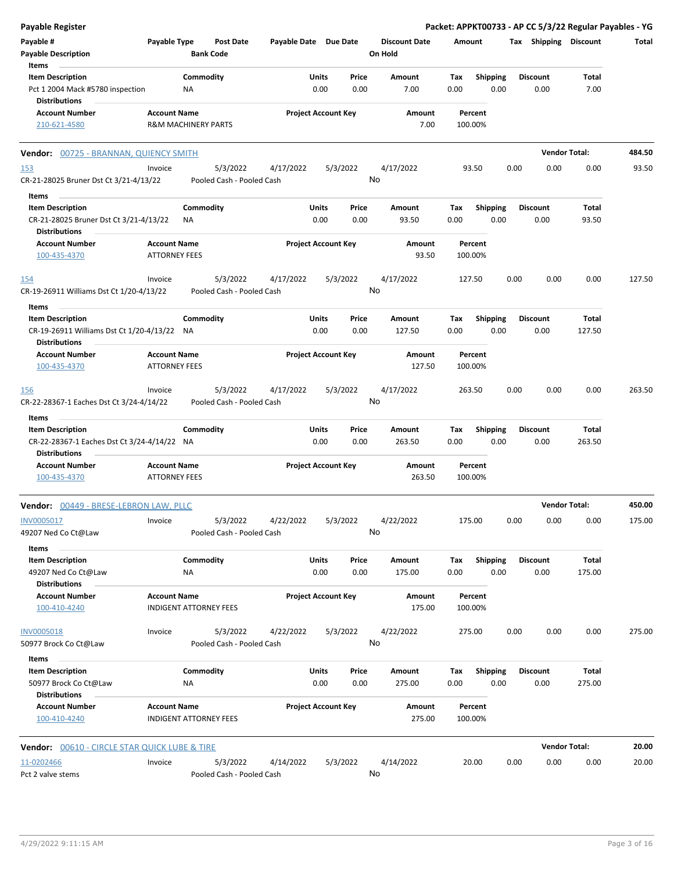| <b>Payable Register</b>                                             |                      |                                       |                       |                            |               |                                 |             |                         |      |                         | Packet: APPKT00733 - AP CC 5/3/22 Regular Payables - YG |        |
|---------------------------------------------------------------------|----------------------|---------------------------------------|-----------------------|----------------------------|---------------|---------------------------------|-------------|-------------------------|------|-------------------------|---------------------------------------------------------|--------|
| Payable #<br>Payable Type<br><b>Payable Description</b>             |                      | <b>Post Date</b><br><b>Bank Code</b>  | Payable Date Due Date |                            |               | <b>Discount Date</b><br>On Hold | Amount      |                         |      | Tax Shipping Discount   |                                                         | Total  |
| Items                                                               |                      |                                       |                       |                            |               |                                 |             |                         |      |                         |                                                         |        |
| <b>Item Description</b>                                             |                      | Commodity                             |                       | Units                      | Price         | Amount                          | Tax         | <b>Shipping</b>         |      | <b>Discount</b>         | Total                                                   |        |
| Pct 1 2004 Mack #5780 inspection<br><b>Distributions</b>            |                      | NA                                    |                       | 0.00                       | 0.00          | 7.00                            | 0.00        | 0.00                    |      | 0.00                    | 7.00                                                    |        |
|                                                                     |                      |                                       |                       |                            |               |                                 |             |                         |      |                         |                                                         |        |
| <b>Account Number</b><br>210-621-4580                               | <b>Account Name</b>  | <b>R&amp;M MACHINERY PARTS</b>        |                       | <b>Project Account Key</b> |               | Amount<br>7.00                  | 100.00%     | Percent                 |      |                         |                                                         |        |
|                                                                     |                      |                                       |                       |                            |               |                                 |             |                         |      |                         |                                                         |        |
| Vendor: 00725 - BRANNAN, QUIENCY SMITH                              |                      |                                       |                       |                            |               |                                 |             |                         |      |                         | <b>Vendor Total:</b>                                    | 484.50 |
| <u>153</u><br>CR-21-28025 Bruner Dst Ct 3/21-4/13/22                | Invoice              | 5/3/2022<br>Pooled Cash - Pooled Cash | 4/17/2022             | 5/3/2022                   |               | 4/17/2022<br>No                 |             | 93.50                   | 0.00 | 0.00                    | 0.00                                                    | 93.50  |
|                                                                     |                      |                                       |                       |                            |               |                                 |             |                         |      |                         |                                                         |        |
| Items<br><b>Item Description</b>                                    |                      | Commodity                             |                       | Units                      | Price         | Amount                          | Tax         | <b>Shipping</b>         |      | <b>Discount</b>         | Total                                                   |        |
| CR-21-28025 Bruner Dst Ct 3/21-4/13/22<br><b>Distributions</b>      |                      | <b>NA</b>                             |                       | 0.00                       | 0.00          | 93.50                           | 0.00        | 0.00                    |      | 0.00                    | 93.50                                                   |        |
| <b>Account Number</b>                                               | <b>Account Name</b>  |                                       |                       | <b>Project Account Key</b> |               | Amount                          |             | Percent                 |      |                         |                                                         |        |
| 100-435-4370                                                        | <b>ATTORNEY FEES</b> |                                       |                       |                            |               | 93.50                           | 100.00%     |                         |      |                         |                                                         |        |
| <u>154</u>                                                          | Invoice              | 5/3/2022                              | 4/17/2022             | 5/3/2022                   |               | 4/17/2022                       | 127.50      |                         | 0.00 | 0.00                    | 0.00                                                    | 127.50 |
| CR-19-26911 Williams Dst Ct 1/20-4/13/22                            |                      | Pooled Cash - Pooled Cash             |                       |                            |               | No                              |             |                         |      |                         |                                                         |        |
| Items                                                               |                      |                                       |                       |                            |               |                                 |             |                         |      |                         |                                                         |        |
| <b>Item Description</b>                                             |                      | Commodity                             |                       | Units                      | Price         | Amount                          | Tax         | <b>Shipping</b>         |      | <b>Discount</b>         | Total                                                   |        |
| CR-19-26911 Williams Dst Ct 1/20-4/13/22 NA<br><b>Distributions</b> |                      |                                       |                       | 0.00                       | 0.00          | 127.50                          | 0.00        | 0.00                    |      | 0.00                    | 127.50                                                  |        |
| <b>Account Number</b>                                               | <b>Account Name</b>  |                                       |                       | <b>Project Account Key</b> |               | Amount                          |             | Percent                 |      |                         |                                                         |        |
| 100-435-4370                                                        | <b>ATTORNEY FEES</b> |                                       |                       |                            |               | 127.50                          | 100.00%     |                         |      |                         |                                                         |        |
| <b>156</b>                                                          | Invoice              | 5/3/2022                              | 4/17/2022             | 5/3/2022                   |               | 4/17/2022                       | 263.50      |                         | 0.00 | 0.00                    | 0.00                                                    | 263.50 |
| CR-22-28367-1 Eaches Dst Ct 3/24-4/14/22                            |                      | Pooled Cash - Pooled Cash             |                       |                            |               | No                              |             |                         |      |                         |                                                         |        |
| Items                                                               |                      |                                       |                       |                            |               |                                 |             |                         |      |                         |                                                         |        |
| <b>Item Description</b>                                             |                      | Commodity                             |                       | Units<br>0.00              | Price<br>0.00 | Amount<br>263.50                | Tax<br>0.00 | <b>Shipping</b><br>0.00 |      | <b>Discount</b><br>0.00 | Total<br>263.50                                         |        |
| CR-22-28367-1 Eaches Dst Ct 3/24-4/14/22 NA<br><b>Distributions</b> |                      |                                       |                       |                            |               |                                 |             |                         |      |                         |                                                         |        |
| <b>Account Number</b>                                               | <b>Account Name</b>  |                                       |                       | <b>Project Account Key</b> |               | Amount                          |             | Percent                 |      |                         |                                                         |        |
| 100-435-4370                                                        | <b>ATTORNEY FEES</b> |                                       |                       |                            |               | 263.50                          | 100.00%     |                         |      |                         |                                                         |        |
| Vendor: 00449 - BRESE-LEBRON LAW, PLLC                              |                      |                                       |                       |                            |               |                                 |             |                         |      |                         | <b>Vendor Total:</b>                                    | 450.00 |
| INV0005017                                                          | Invoice              | 5/3/2022                              | 4/22/2022             | 5/3/2022                   |               | 4/22/2022                       | 175.00      |                         | 0.00 | 0.00                    | 0.00                                                    | 175.00 |
| 49207 Ned Co Ct@Law                                                 |                      | Pooled Cash - Pooled Cash             |                       |                            |               | No                              |             |                         |      |                         |                                                         |        |
|                                                                     |                      |                                       |                       |                            |               |                                 |             |                         |      |                         |                                                         |        |
| Items<br><b>Item Description</b>                                    |                      | Commodity                             |                       | Units                      | Price         | Amount                          | Tax         | <b>Shipping</b>         |      | <b>Discount</b>         | Total                                                   |        |
| 49207 Ned Co Ct@Law                                                 |                      | ΝA                                    |                       | 0.00                       | 0.00          | 175.00                          | 0.00        | 0.00                    |      | 0.00                    | 175.00                                                  |        |
| <b>Distributions</b>                                                |                      |                                       |                       |                            |               |                                 |             |                         |      |                         |                                                         |        |
| <b>Account Number</b>                                               | <b>Account Name</b>  |                                       |                       | <b>Project Account Key</b> |               | Amount                          |             | Percent                 |      |                         |                                                         |        |
| 100-410-4240                                                        |                      | INDIGENT ATTORNEY FEES                |                       |                            |               | 175.00                          | 100.00%     |                         |      |                         |                                                         |        |
| <b>INV0005018</b>                                                   | Invoice              | 5/3/2022                              | 4/22/2022             | 5/3/2022                   |               | 4/22/2022                       | 275.00      |                         | 0.00 | 0.00                    | 0.00                                                    | 275.00 |
| 50977 Brock Co Ct@Law                                               |                      | Pooled Cash - Pooled Cash             |                       |                            |               | No                              |             |                         |      |                         |                                                         |        |
| Items                                                               |                      |                                       |                       |                            |               |                                 |             |                         |      |                         |                                                         |        |
| <b>Item Description</b>                                             |                      | Commodity                             |                       | Units                      | Price         | Amount                          | Tax         | <b>Shipping</b>         |      | <b>Discount</b>         | Total                                                   |        |
| 50977 Brock Co Ct@Law<br><b>Distributions</b>                       |                      | NA                                    |                       | 0.00                       | 0.00          | 275.00                          | 0.00        | 0.00                    |      | 0.00                    | 275.00                                                  |        |
| <b>Account Number</b>                                               | <b>Account Name</b>  |                                       |                       | <b>Project Account Key</b> |               | Amount                          |             | Percent                 |      |                         |                                                         |        |
| 100-410-4240                                                        |                      | <b>INDIGENT ATTORNEY FEES</b>         |                       |                            |               | 275.00                          | 100.00%     |                         |      |                         |                                                         |        |
| <b>Vendor: 00610 - CIRCLE STAR QUICK LUBE &amp; TIRE</b>            |                      |                                       |                       |                            |               |                                 |             |                         |      |                         | <b>Vendor Total:</b>                                    | 20.00  |
| 11-0202466                                                          | Invoice              | 5/3/2022                              | 4/14/2022             | 5/3/2022                   |               | 4/14/2022                       |             | 20.00                   | 0.00 | 0.00                    | 0.00                                                    | 20.00  |
| Pct 2 valve stems                                                   |                      | Pooled Cash - Pooled Cash             |                       |                            |               | No                              |             |                         |      |                         |                                                         |        |
|                                                                     |                      |                                       |                       |                            |               |                                 |             |                         |      |                         |                                                         |        |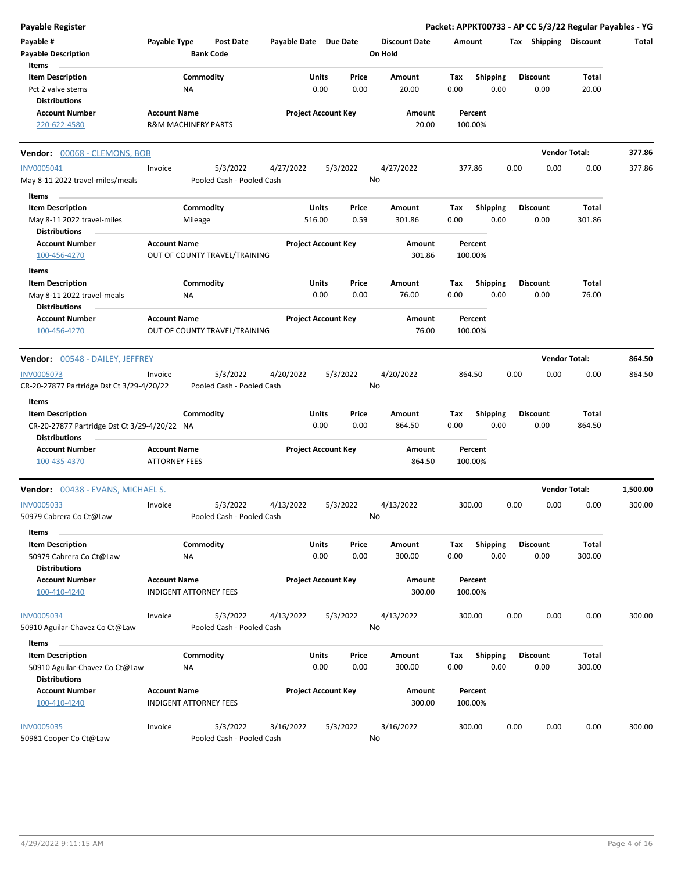| <b>Payable Register</b>                                                       |                                             |                                       |                       |                                |                                 | Packet: APPKT00733 - AP CC 5/3/22 Regular Payables - YG |      |                         |                       |          |
|-------------------------------------------------------------------------------|---------------------------------------------|---------------------------------------|-----------------------|--------------------------------|---------------------------------|---------------------------------------------------------|------|-------------------------|-----------------------|----------|
| Payable #<br><b>Payable Description</b>                                       | Payable Type                                | <b>Post Date</b><br><b>Bank Code</b>  | Payable Date Due Date |                                | <b>Discount Date</b><br>On Hold | Amount                                                  |      |                         | Tax Shipping Discount | Total    |
| Items<br><b>Item Description</b>                                              |                                             | Commodity                             |                       | Units<br>Price                 | Amount                          | <b>Shipping</b><br>Tax                                  |      | <b>Discount</b>         | Total                 |          |
| Pct 2 valve stems                                                             |                                             | ΝA                                    |                       | 0.00<br>0.00                   | 20.00                           | 0.00<br>0.00                                            |      | 0.00                    | 20.00                 |          |
| <b>Distributions</b>                                                          |                                             |                                       |                       |                                |                                 |                                                         |      |                         |                       |          |
| <b>Account Number</b><br>220-622-4580                                         | <b>Account Name</b>                         | R&M MACHINERY PARTS                   |                       | <b>Project Account Key</b>     | Amount<br>20.00                 | Percent<br>100.00%                                      |      |                         |                       |          |
| Vendor: 00068 - CLEMONS, BOB                                                  |                                             |                                       |                       |                                |                                 |                                                         |      |                         | <b>Vendor Total:</b>  | 377.86   |
| <b>INV0005041</b>                                                             | Invoice                                     | 5/3/2022                              | 4/27/2022             | 5/3/2022                       | 4/27/2022                       | 377.86                                                  | 0.00 | 0.00                    | 0.00                  | 377.86   |
| May 8-11 2022 travel-miles/meals                                              |                                             | Pooled Cash - Pooled Cash             |                       |                                | No                              |                                                         |      |                         |                       |          |
| Items                                                                         |                                             |                                       |                       | Units                          |                                 |                                                         |      |                         | Total                 |          |
| <b>Item Description</b><br>May 8-11 2022 travel-miles<br><b>Distributions</b> |                                             | Commodity<br>Mileage                  | 516.00                | Price<br>0.59                  | Amount<br>301.86                | Tax<br><b>Shipping</b><br>0.00<br>0.00                  |      | <b>Discount</b><br>0.00 | 301.86                |          |
| <b>Account Number</b>                                                         | <b>Account Name</b>                         |                                       |                       | <b>Project Account Key</b>     | Amount                          | Percent                                                 |      |                         |                       |          |
| 100-456-4270                                                                  |                                             | OUT OF COUNTY TRAVEL/TRAINING         |                       |                                | 301.86                          | 100.00%                                                 |      |                         |                       |          |
| Items                                                                         |                                             |                                       |                       |                                |                                 |                                                         |      |                         |                       |          |
| <b>Item Description</b>                                                       |                                             | Commodity                             |                       | Units<br>Price                 | Amount                          | Tax<br><b>Shipping</b>                                  |      | Discount                | Total                 |          |
| May 8-11 2022 travel-meals                                                    |                                             | NA                                    |                       | 0.00<br>0.00                   | 76.00                           | 0.00<br>0.00                                            |      | 0.00                    | 76.00                 |          |
| <b>Distributions</b>                                                          |                                             |                                       |                       |                                |                                 |                                                         |      |                         |                       |          |
| <b>Account Number</b><br>100-456-4270                                         | <b>Account Name</b>                         | OUT OF COUNTY TRAVEL/TRAINING         |                       | <b>Project Account Key</b>     | Amount<br>76.00                 | Percent<br>100.00%                                      |      |                         |                       |          |
| <b>Vendor:</b> 00548 - DAILEY, JEFFREY                                        |                                             |                                       |                       |                                |                                 |                                                         |      |                         | <b>Vendor Total:</b>  | 864.50   |
| <b>INV0005073</b>                                                             | Invoice                                     | 5/3/2022                              | 4/20/2022             | 5/3/2022                       | 4/20/2022                       | 864.50                                                  | 0.00 | 0.00                    | 0.00                  | 864.50   |
| CR-20-27877 Partridge Dst Ct 3/29-4/20/22                                     |                                             | Pooled Cash - Pooled Cash             |                       |                                | No                              |                                                         |      |                         |                       |          |
| Items                                                                         |                                             |                                       |                       |                                |                                 |                                                         |      |                         |                       |          |
| <b>Item Description</b><br>CR-20-27877 Partridge Dst Ct 3/29-4/20/22 NA       |                                             | Commodity                             |                       | Units<br>Price<br>0.00<br>0.00 | Amount<br>864.50                | <b>Shipping</b><br>Tax<br>0.00<br>0.00                  |      | <b>Discount</b><br>0.00 | Total<br>864.50       |          |
| <b>Distributions</b>                                                          |                                             |                                       |                       |                                |                                 |                                                         |      |                         |                       |          |
| <b>Account Number</b><br>100-435-4370                                         | <b>Account Name</b><br><b>ATTORNEY FEES</b> |                                       |                       | <b>Project Account Key</b>     | Amount<br>864.50                | Percent<br>100.00%                                      |      |                         |                       |          |
| <b>Vendor:</b> 00438 - EVANS, MICHAEL S.                                      |                                             |                                       |                       |                                |                                 |                                                         |      |                         | <b>Vendor Total:</b>  | 1,500.00 |
| <b>INV0005033</b>                                                             | Invoice                                     | 5/3/2022                              | 4/13/2022             | 5/3/2022                       | 4/13/2022                       | 300.00                                                  | 0.00 | 0.00                    | 0.00                  | 300.00   |
| 50979 Cabrera Co Ct@Law<br>Items                                              |                                             | Pooled Cash - Pooled Cash             |                       |                                | No                              |                                                         |      |                         |                       |          |
| <b>Item Description</b>                                                       |                                             | Commodity                             |                       | Units<br>Price                 | Amount                          | Shipping<br>Tax                                         |      | <b>Discount</b>         | Total                 |          |
| 50979 Cabrera Co Ct@Law<br><b>Distributions</b>                               |                                             | ΝA                                    |                       | 0.00<br>0.00                   | 300.00                          | 0.00<br>0.00                                            |      | 0.00                    | 300.00                |          |
| <b>Account Number</b><br>100-410-4240                                         | <b>Account Name</b>                         | INDIGENT ATTORNEY FEES                |                       | <b>Project Account Key</b>     | Amount<br>300.00                | Percent<br>100.00%                                      |      |                         |                       |          |
| <b>INV0005034</b>                                                             | Invoice                                     | 5/3/2022                              | 4/13/2022             | 5/3/2022                       | 4/13/2022                       | 300.00                                                  | 0.00 | 0.00                    | 0.00                  | 300.00   |
| 50910 Aguilar-Chavez Co Ct@Law                                                |                                             | Pooled Cash - Pooled Cash             |                       |                                | No                              |                                                         |      |                         |                       |          |
| Items                                                                         |                                             |                                       |                       |                                |                                 |                                                         |      |                         |                       |          |
| <b>Item Description</b>                                                       |                                             | Commodity                             |                       | Units<br>Price                 | Amount                          | <b>Shipping</b><br>Tax                                  |      | <b>Discount</b>         | Total                 |          |
| 50910 Aguilar-Chavez Co Ct@Law                                                |                                             | ΝA                                    |                       | 0.00<br>0.00                   | 300.00                          | 0.00<br>0.00                                            |      | 0.00                    | 300.00                |          |
| <b>Distributions</b>                                                          |                                             |                                       |                       |                                |                                 |                                                         |      |                         |                       |          |
| <b>Account Number</b><br>100-410-4240                                         | <b>Account Name</b>                         | INDIGENT ATTORNEY FEES                |                       | <b>Project Account Key</b>     | Amount<br>300.00                | Percent<br>100.00%                                      |      |                         |                       |          |
| INV0005035<br>50981 Cooper Co Ct@Law                                          | Invoice                                     | 5/3/2022<br>Pooled Cash - Pooled Cash | 3/16/2022             | 5/3/2022                       | 3/16/2022<br>No                 | 300.00                                                  | 0.00 | 0.00                    | 0.00                  | 300.00   |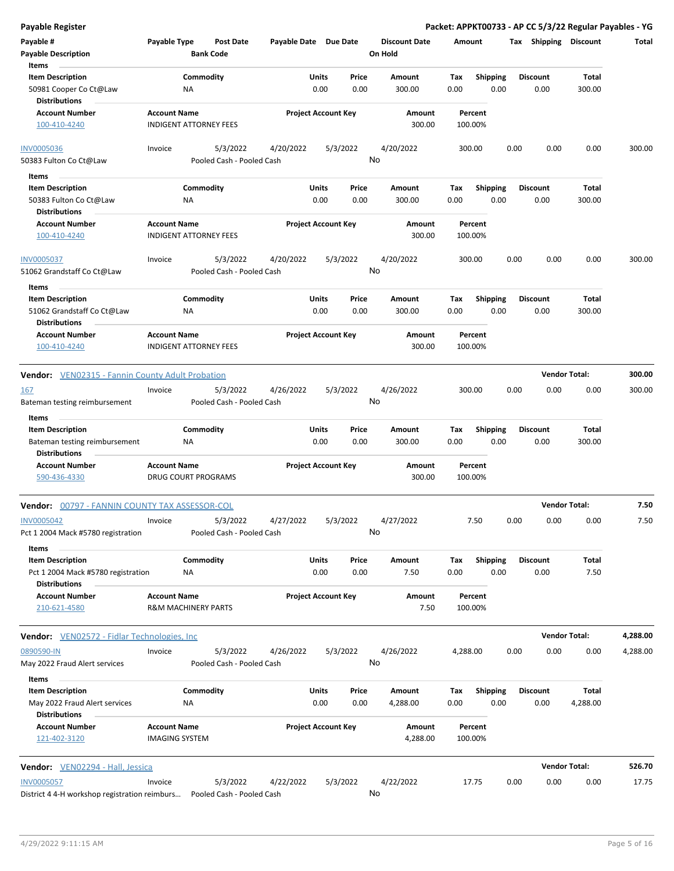| Payable #                                                                                 | Payable Type                                          | Post Date                             | Payable Date Due Date |                            |                       | <b>Discount Date</b>  | Amount             |                         | Tax  | Shipping                | <b>Discount</b>      | Total    |
|-------------------------------------------------------------------------------------------|-------------------------------------------------------|---------------------------------------|-----------------------|----------------------------|-----------------------|-----------------------|--------------------|-------------------------|------|-------------------------|----------------------|----------|
| <b>Payable Description</b>                                                                |                                                       | <b>Bank Code</b>                      |                       |                            |                       | On Hold               |                    |                         |      |                         |                      |          |
| Items<br><b>Item Description</b><br>50981 Cooper Co Ct@Law<br><b>Distributions</b>        | ΝA                                                    | Commodity                             |                       | Units<br>0.00              | Price<br>0.00         | Amount<br>300.00      | Tax<br>0.00        | <b>Shipping</b><br>0.00 |      | <b>Discount</b><br>0.00 | Total<br>300.00      |          |
| <b>Account Number</b><br>100-410-4240                                                     | <b>Account Name</b><br><b>INDIGENT ATTORNEY FEES</b>  |                                       |                       | <b>Project Account Key</b> |                       | Amount<br>300.00      | Percent<br>100.00% |                         |      |                         |                      |          |
| <b>INV0005036</b><br>50383 Fulton Co Ct@Law                                               | Invoice                                               | 5/3/2022<br>Pooled Cash - Pooled Cash | 4/20/2022             |                            | 5/3/2022<br>No        | 4/20/2022             | 300.00             |                         | 0.00 | 0.00                    | 0.00                 | 300.00   |
| Items                                                                                     |                                                       |                                       |                       |                            |                       |                       |                    |                         |      |                         |                      |          |
| <b>Item Description</b><br>50383 Fulton Co Ct@Law<br><b>Distributions</b>                 | ΝA                                                    | Commodity                             |                       | Units<br>0.00              | Price<br>0.00         | Amount<br>300.00      | Tax<br>0.00        | <b>Shipping</b><br>0.00 |      | <b>Discount</b><br>0.00 | Total<br>300.00      |          |
| <b>Account Number</b><br>100-410-4240                                                     | <b>Account Name</b><br><b>INDIGENT ATTORNEY FEES</b>  |                                       |                       | <b>Project Account Key</b> |                       | Amount<br>300.00      | Percent<br>100.00% |                         |      |                         |                      |          |
| <b>INV0005037</b><br>51062 Grandstaff Co Ct@Law                                           | Invoice                                               | 5/3/2022<br>Pooled Cash - Pooled Cash | 4/20/2022             |                            | 5/3/2022<br>No        | 4/20/2022             | 300.00             |                         | 0.00 | 0.00                    | 0.00                 | 300.00   |
| Items<br><b>Item Description</b><br>51062 Grandstaff Co Ct@Law<br><b>Distributions</b>    | ΝA                                                    | Commodity                             |                       | Units<br>0.00              | Price<br>0.00         | Amount<br>300.00      | Tax<br>0.00        | <b>Shipping</b><br>0.00 |      | <b>Discount</b><br>0.00 | Total<br>300.00      |          |
| <b>Account Number</b><br>100-410-4240                                                     | <b>Account Name</b><br><b>INDIGENT ATTORNEY FEES</b>  |                                       |                       | <b>Project Account Key</b> |                       | Amount<br>300.00      | Percent<br>100.00% |                         |      |                         |                      |          |
| <b>Vendor:</b> VEN02315 - Fannin County Adult Probation                                   |                                                       |                                       |                       |                            |                       |                       |                    |                         |      | <b>Vendor Total:</b>    |                      | 300.00   |
| <u>167</u><br>Bateman testing reimbursement                                               | Invoice                                               | 5/3/2022<br>Pooled Cash - Pooled Cash | 4/26/2022             |                            | 5/3/2022<br>No        | 4/26/2022             | 300.00             |                         | 0.00 | 0.00                    | 0.00                 | 300.00   |
| Items<br><b>Item Description</b>                                                          |                                                       | Commodity                             |                       | Units                      | Price                 | Amount                | Tax                | <b>Shipping</b>         |      | <b>Discount</b>         | Total                |          |
| Bateman testing reimbursement<br><b>Distributions</b>                                     | ΝA                                                    |                                       |                       | 0.00                       | 0.00                  | 300.00                | 0.00               | 0.00                    |      | 0.00                    | 300.00               |          |
| <b>Account Number</b><br>590-436-4330                                                     | <b>Account Name</b><br><b>DRUG COURT PROGRAMS</b>     |                                       |                       | <b>Project Account Key</b> |                       | Amount<br>300.00      | Percent<br>100.00% |                         |      |                         |                      |          |
| Vendor: 00797 - FANNIN COUNTY TAX ASSESSOR-COL                                            |                                                       |                                       |                       |                            |                       |                       |                    |                         |      | <b>Vendor Total:</b>    |                      | 7.50     |
| <b>INV0005042</b><br>Pct 1 2004 Mack #5780 registration<br>Items                          | Invoice                                               | 5/3/2022<br>Pooled Cash - Pooled Cash | 4/27/2022             |                            | 5/3/2022<br><b>No</b> | 4/27/2022             | 7.50               |                         | 0.00 | 0.00                    | 0.00                 | 7.50     |
| <b>Item Description</b><br>Pct 1 2004 Mack #5780 registration<br><b>Distributions</b>     | ΝA                                                    | Commodity                             |                       | Units<br>0.00              | Price<br>0.00         | Amount<br>7.50        | Tax<br>0.00        | <b>Shipping</b><br>0.00 |      | <b>Discount</b><br>0.00 | <b>Total</b><br>7.50 |          |
| <b>Account Number</b><br>210-621-4580                                                     | <b>Account Name</b><br><b>R&amp;M MACHINERY PARTS</b> |                                       |                       | <b>Project Account Key</b> |                       | <b>Amount</b><br>7.50 | Percent<br>100.00% |                         |      |                         |                      |          |
| Vendor: VEN02572 - Fidlar Technologies, Inc                                               |                                                       |                                       |                       |                            |                       |                       |                    |                         |      | <b>Vendor Total:</b>    |                      | 4,288.00 |
| 0890590-IN<br>May 2022 Fraud Alert services                                               | Invoice                                               | 5/3/2022<br>Pooled Cash - Pooled Cash | 4/26/2022             |                            | 5/3/2022<br>No        | 4/26/2022             | 4,288.00           |                         | 0.00 | 0.00                    | 0.00                 | 4,288.00 |
| Items<br><b>Item Description</b><br>May 2022 Fraud Alert services<br><b>Distributions</b> | <b>NA</b>                                             | Commodity                             |                       | Units<br>0.00              | Price<br>0.00         | Amount<br>4,288.00    | Tax<br>0.00        | <b>Shipping</b><br>0.00 |      | <b>Discount</b><br>0.00 | Total<br>4,288.00    |          |
| <b>Account Number</b><br>121-402-3120                                                     | <b>Account Name</b><br><b>IMAGING SYSTEM</b>          |                                       |                       | <b>Project Account Key</b> |                       | Amount<br>4,288.00    | Percent<br>100.00% |                         |      |                         |                      |          |
| Vendor: VEN02294 - Hall, Jessica                                                          |                                                       |                                       |                       |                            |                       |                       |                    |                         |      | <b>Vendor Total:</b>    |                      | 526.70   |
| <b>INV0005057</b><br>District 4 4-H workshop registration reimburs                        | Invoice                                               | 5/3/2022<br>Pooled Cash - Pooled Cash | 4/22/2022             |                            | 5/3/2022              | 4/22/2022<br>No       | 17.75              |                         | 0.00 | 0.00                    | 0.00                 | 17.75    |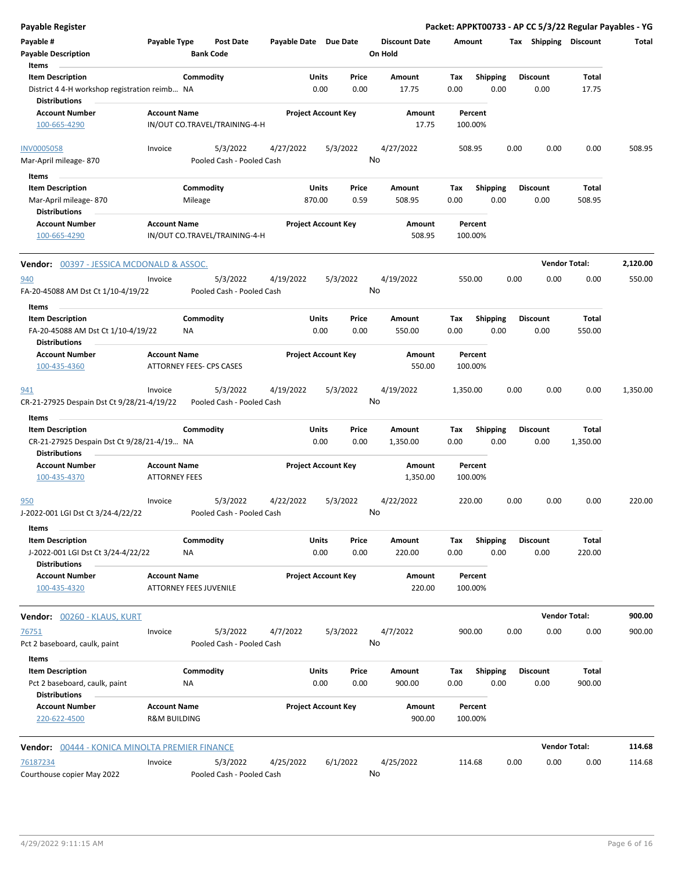| <b>Payable Register</b>                                        |                                                |                                       |                       |                            |               |                      |             |                  |      |                         | Packet: APPKT00733 - AP CC 5/3/22 Regular Payables - YG |          |
|----------------------------------------------------------------|------------------------------------------------|---------------------------------------|-----------------------|----------------------------|---------------|----------------------|-------------|------------------|------|-------------------------|---------------------------------------------------------|----------|
| Payable #                                                      | Payable Type                                   | <b>Post Date</b>                      | Payable Date Due Date |                            |               | <b>Discount Date</b> | Amount      |                  |      | Tax Shipping Discount   |                                                         | Total    |
| <b>Payable Description</b>                                     |                                                | <b>Bank Code</b>                      |                       |                            |               | On Hold              |             |                  |      |                         |                                                         |          |
| Items                                                          |                                                |                                       |                       |                            |               |                      |             |                  |      |                         |                                                         |          |
| <b>Item Description</b>                                        |                                                | Commodity                             |                       | Units                      | Price         | Amount               | Tax         | <b>Shipping</b>  |      | <b>Discount</b>         | <b>Total</b>                                            |          |
| District 4 4-H workshop registration reimb NA<br>Distributions |                                                |                                       |                       | 0.00                       | 0.00          | 17.75                | 0.00        | 0.00             |      | 0.00                    | 17.75                                                   |          |
| Account Number                                                 | <b>Account Name</b>                            |                                       |                       | <b>Project Account Key</b> |               | Amount               |             | Percent          |      |                         |                                                         |          |
| 100-665-4290                                                   |                                                | IN/OUT CO.TRAVEL/TRAINING-4-H         |                       |                            |               | 17.75                | 100.00%     |                  |      |                         |                                                         |          |
| <b>INV0005058</b>                                              | Invoice                                        | 5/3/2022                              | 4/27/2022             |                            | 5/3/2022      | 4/27/2022            | 508.95      |                  | 0.00 | 0.00                    | 0.00                                                    | 508.95   |
| Mar-April mileage-870                                          |                                                | Pooled Cash - Pooled Cash             |                       |                            |               | No                   |             |                  |      |                         |                                                         |          |
| Items                                                          |                                                |                                       |                       |                            |               |                      |             |                  |      |                         |                                                         |          |
| <b>Item Description</b>                                        |                                                | Commodity                             |                       | Units                      | Price         | Amount               | Tax         | <b>Shipping</b>  |      | <b>Discount</b>         | Total                                                   |          |
| Mar-April mileage-870                                          |                                                | Mileage                               |                       | 870.00                     | 0.59          | 508.95               | 0.00        | 0.00             |      | 0.00                    | 508.95                                                  |          |
| <b>Distributions</b>                                           |                                                |                                       |                       |                            |               |                      |             |                  |      |                         |                                                         |          |
| <b>Account Number</b>                                          | <b>Account Name</b>                            |                                       |                       | <b>Project Account Key</b> |               | Amount               |             | Percent          |      |                         |                                                         |          |
| 100-665-4290                                                   |                                                | IN/OUT CO.TRAVEL/TRAINING-4-H         |                       |                            |               | 508.95               | 100.00%     |                  |      |                         |                                                         |          |
| <b>Vendor: 00397 - JESSICA MCDONALD &amp; ASSOC.</b>           |                                                |                                       |                       |                            |               |                      |             |                  |      |                         | <b>Vendor Total:</b>                                    | 2,120.00 |
| 940                                                            | Invoice                                        | 5/3/2022                              | 4/19/2022             |                            | 5/3/2022      | 4/19/2022            | 550.00      |                  | 0.00 | 0.00                    | 0.00                                                    | 550.00   |
| FA-20-45088 AM Dst Ct 1/10-4/19/22                             |                                                | Pooled Cash - Pooled Cash             |                       |                            |               | No                   |             |                  |      |                         |                                                         |          |
| Items                                                          |                                                |                                       |                       |                            |               |                      |             |                  |      |                         |                                                         |          |
| <b>Item Description</b>                                        |                                                | Commodity                             |                       | Units                      | Price         | Amount               | Tax         | <b>Shipping</b>  |      | <b>Discount</b>         | <b>Total</b>                                            |          |
| FA-20-45088 AM Dst Ct 1/10-4/19/22                             |                                                | ΝA                                    |                       | 0.00                       | 0.00          | 550.00               | 0.00        | 0.00             |      | 0.00                    | 550.00                                                  |          |
| <b>Distributions</b>                                           |                                                |                                       |                       |                            |               |                      |             |                  |      |                         |                                                         |          |
| <b>Account Number</b>                                          | <b>Account Name</b>                            |                                       |                       | <b>Project Account Key</b> |               | Amount               |             | Percent          |      |                         |                                                         |          |
| 100-435-4360                                                   |                                                | <b>ATTORNEY FEES- CPS CASES</b>       |                       |                            |               | 550.00               | 100.00%     |                  |      |                         |                                                         |          |
| 941                                                            | Invoice                                        | 5/3/2022                              | 4/19/2022             |                            | 5/3/2022      | 4/19/2022            | 1,350.00    |                  | 0.00 | 0.00                    | 0.00                                                    | 1,350.00 |
| CR-21-27925 Despain Dst Ct 9/28/21-4/19/22                     |                                                | Pooled Cash - Pooled Cash             |                       |                            |               | No                   |             |                  |      |                         |                                                         |          |
| Items                                                          |                                                |                                       |                       |                            |               |                      |             |                  |      |                         |                                                         |          |
| <b>Item Description</b>                                        |                                                | Commodity                             |                       | Units                      | Price         | Amount               | Tax         | <b>Shipping</b>  |      | <b>Discount</b>         | Total                                                   |          |
| CR-21-27925 Despain Dst Ct 9/28/21-4/19 NA                     |                                                |                                       |                       | 0.00                       | 0.00          | 1,350.00             | 0.00        | 0.00             |      | 0.00                    | 1,350.00                                                |          |
| <b>Distributions</b>                                           |                                                |                                       |                       |                            |               |                      |             |                  |      |                         |                                                         |          |
| <b>Account Number</b>                                          | <b>Account Name</b>                            |                                       |                       | <b>Project Account Key</b> |               | Amount               |             | Percent          |      |                         |                                                         |          |
| 100-435-4370                                                   | <b>ATTORNEY FEES</b>                           |                                       |                       |                            |               | 1,350.00             | 100.00%     |                  |      |                         |                                                         |          |
| <u>950</u>                                                     | Invoice                                        | 5/3/2022                              | 4/22/2022             |                            | 5/3/2022      | 4/22/2022            | 220.00      |                  | 0.00 | 0.00                    | 0.00                                                    | 220.00   |
| J-2022-001 LGI Dst Ct 3/24-4/22/22                             |                                                | Pooled Cash - Pooled Cash             |                       |                            |               | No.                  |             |                  |      |                         |                                                         |          |
| Items                                                          |                                                |                                       |                       |                            |               |                      |             |                  |      |                         |                                                         |          |
| <b>Item Description</b>                                        |                                                | Commodity                             |                       | <b>Units</b>               | Price         | Amount               | Tax         | <b>Shipping</b>  |      | <b>Discount</b>         | Total                                                   |          |
| J-2022-001 LGI Dst Ct 3/24-4/22/22<br><b>Distributions</b>     |                                                | ΝA                                    |                       | 0.00                       | 0.00          | 220.00               | 0.00        | 0.00             |      | 0.00                    | 220.00                                                  |          |
| Account Number                                                 | <b>Account Name</b>                            |                                       |                       | <b>Project Account Key</b> |               | Amount               |             | Percent          |      |                         |                                                         |          |
| 100-435-4320                                                   |                                                | <b>ATTORNEY FEES JUVENILE</b>         |                       |                            |               | 220.00               | 100.00%     |                  |      |                         |                                                         |          |
| <b>Vendor:</b> 00260 - KLAUS, KURT                             |                                                |                                       |                       |                            |               |                      |             |                  |      |                         | <b>Vendor Total:</b>                                    | 900.00   |
| 76751                                                          | Invoice                                        | 5/3/2022                              | 4/7/2022              |                            | 5/3/2022      | 4/7/2022             | 900.00      |                  | 0.00 | 0.00                    | 0.00                                                    | 900.00   |
| Pct 2 baseboard, caulk, paint                                  |                                                | Pooled Cash - Pooled Cash             |                       |                            |               | No                   |             |                  |      |                         |                                                         |          |
| Items                                                          |                                                |                                       |                       |                            |               |                      |             |                  |      |                         |                                                         |          |
| <b>Item Description</b><br>Pct 2 baseboard, caulk, paint       |                                                | Commodity<br>NA                       |                       | Units<br>0.00              | Price<br>0.00 | Amount<br>900.00     | Tax<br>0.00 | Shipping<br>0.00 |      | <b>Discount</b><br>0.00 | Total<br>900.00                                         |          |
| <b>Distributions</b>                                           |                                                |                                       |                       |                            |               |                      |             |                  |      |                         |                                                         |          |
| Account Number<br>220-622-4500                                 | <b>Account Name</b><br><b>R&amp;M BUILDING</b> |                                       |                       | <b>Project Account Key</b> |               | Amount<br>900.00     | 100.00%     | Percent          |      |                         |                                                         |          |
| Vendor: 00444 - KONICA MINOLTA PREMIER FINANCE                 |                                                |                                       |                       |                            |               |                      |             |                  |      |                         | <b>Vendor Total:</b>                                    | 114.68   |
|                                                                |                                                |                                       |                       |                            |               |                      |             |                  |      |                         |                                                         |          |
| 76187234<br>Courthouse copier May 2022                         | Invoice                                        | 5/3/2022<br>Pooled Cash - Pooled Cash | 4/25/2022             |                            | 6/1/2022      | 4/25/2022<br>No      | 114.68      |                  | 0.00 | 0.00                    | 0.00                                                    | 114.68   |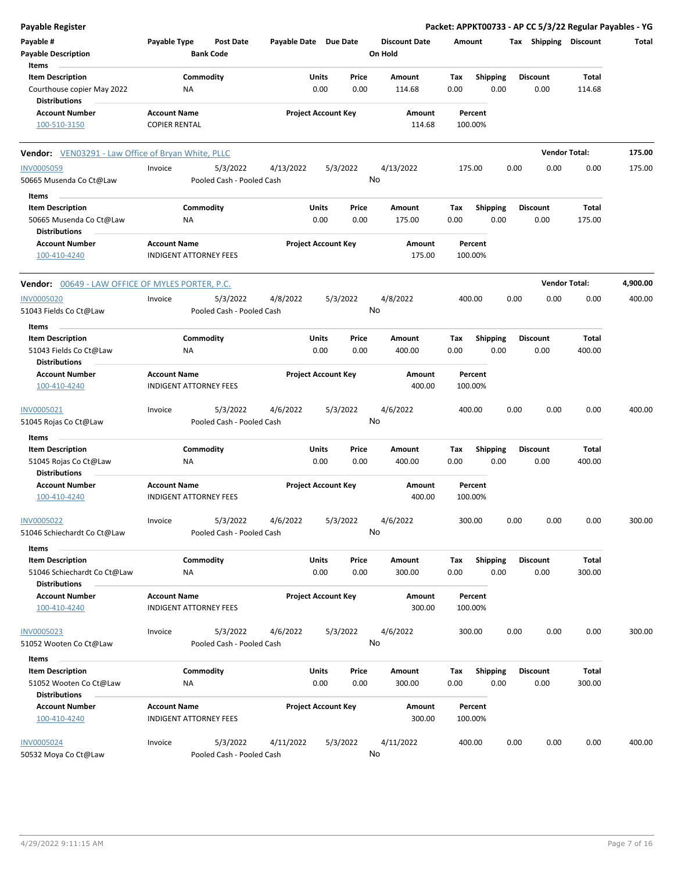| <b>Payable Register</b>                                                    |                                             |                                       |                       |                            |               |                                 |                    |                         |      |                         | Packet: APPKT00733 - AP CC 5/3/22 Regular Payables - YG |          |
|----------------------------------------------------------------------------|---------------------------------------------|---------------------------------------|-----------------------|----------------------------|---------------|---------------------------------|--------------------|-------------------------|------|-------------------------|---------------------------------------------------------|----------|
| Payable #<br><b>Payable Description</b>                                    | Payable Type                                | Post Date<br><b>Bank Code</b>         | Payable Date Due Date |                            |               | <b>Discount Date</b><br>On Hold | Amount             |                         |      | Tax Shipping Discount   |                                                         | Total    |
| Items<br><b>Item Description</b>                                           |                                             | Commodity                             |                       | Units                      | Price         | Amount                          | Tax                | Shipping                |      | <b>Discount</b>         | Total                                                   |          |
| Courthouse copier May 2022<br><b>Distributions</b>                         | ΝA                                          |                                       |                       | 0.00                       | 0.00          | 114.68                          | 0.00               | 0.00                    |      | 0.00                    | 114.68                                                  |          |
| <b>Account Number</b><br>100-510-3150                                      | <b>Account Name</b><br><b>COPIER RENTAL</b> |                                       |                       | <b>Project Account Key</b> |               | Amount<br>114.68                | Percent<br>100.00% |                         |      |                         |                                                         |          |
|                                                                            |                                             |                                       |                       |                            |               |                                 |                    |                         |      |                         |                                                         |          |
| Vendor: VEN03291 - Law Office of Bryan White, PLLC                         |                                             |                                       |                       |                            |               |                                 |                    |                         |      | <b>Vendor Total:</b>    |                                                         | 175.00   |
| <b>INV0005059</b>                                                          | Invoice                                     | 5/3/2022                              | 4/13/2022             | 5/3/2022                   |               | 4/13/2022                       | 175.00             |                         | 0.00 | 0.00                    | 0.00                                                    | 175.00   |
| 50665 Musenda Co Ct@Law                                                    |                                             | Pooled Cash - Pooled Cash             |                       |                            |               | No                              |                    |                         |      |                         |                                                         |          |
| Items                                                                      |                                             |                                       |                       |                            |               |                                 |                    |                         |      |                         |                                                         |          |
| <b>Item Description</b><br>50665 Musenda Co Ct@Law<br><b>Distributions</b> | ΝA                                          | Commodity                             |                       | Units<br>0.00              | Price<br>0.00 | Amount<br>175.00                | Tax<br>0.00        | <b>Shipping</b><br>0.00 |      | <b>Discount</b><br>0.00 | Total<br>175.00                                         |          |
| <b>Account Number</b><br>100-410-4240                                      | <b>Account Name</b>                         | <b>INDIGENT ATTORNEY FEES</b>         |                       | <b>Project Account Key</b> |               | Amount<br>175.00                | Percent<br>100.00% |                         |      |                         |                                                         |          |
| <b>Vendor:</b> 00649 - LAW OFFICE OF MYLES PORTER, P.C.                    |                                             |                                       |                       |                            |               |                                 |                    |                         |      | <b>Vendor Total:</b>    |                                                         | 4,900.00 |
| <b>INV0005020</b>                                                          | Invoice                                     | 5/3/2022                              | 4/8/2022              | 5/3/2022                   |               | 4/8/2022                        | 400.00             |                         | 0.00 | 0.00                    | 0.00                                                    | 400.00   |
| 51043 Fields Co Ct@Law                                                     |                                             | Pooled Cash - Pooled Cash             |                       |                            |               | No                              |                    |                         |      |                         |                                                         |          |
| Items<br><b>Item Description</b>                                           |                                             | Commodity                             |                       | Units                      | Price         | Amount                          | Tax                | <b>Shipping</b>         |      | <b>Discount</b>         | Total                                                   |          |
| 51043 Fields Co Ct@Law<br>Distributions                                    | ΝA                                          |                                       |                       | 0.00                       | 0.00          | 400.00                          | 0.00               | 0.00                    |      | 0.00                    | 400.00                                                  |          |
| <b>Account Number</b><br>100-410-4240                                      | <b>Account Name</b>                         | <b>INDIGENT ATTORNEY FEES</b>         |                       | <b>Project Account Key</b> |               | Amount<br>400.00                | Percent<br>100.00% |                         |      |                         |                                                         |          |
| INV0005021                                                                 | Invoice                                     | 5/3/2022                              | 4/6/2022              | 5/3/2022                   |               | 4/6/2022<br>No                  | 400.00             |                         | 0.00 | 0.00                    | 0.00                                                    | 400.00   |
| 51045 Rojas Co Ct@Law                                                      |                                             | Pooled Cash - Pooled Cash             |                       |                            |               |                                 |                    |                         |      |                         |                                                         |          |
| Items<br><b>Item Description</b>                                           |                                             | Commodity                             |                       | Units                      | Price         | Amount                          | Tax                | Shipping                |      | <b>Discount</b>         | Total                                                   |          |
| 51045 Rojas Co Ct@Law<br><b>Distributions</b>                              | ΝA                                          |                                       |                       | 0.00                       | 0.00          | 400.00                          | 0.00               | 0.00                    |      | 0.00                    | 400.00                                                  |          |
| <b>Account Number</b><br>100-410-4240                                      | <b>Account Name</b>                         | <b>INDIGENT ATTORNEY FEES</b>         |                       | <b>Project Account Key</b> |               | Amount<br>400.00                | Percent<br>100.00% |                         |      |                         |                                                         |          |
| INV0005022<br>51046 Schiechardt Co Ct@Law                                  | Invoice                                     | 5/3/2022<br>Pooled Cash - Pooled Cash | 4/6/2022              | 5/3/2022                   |               | 4/6/2022<br>No                  | 300.00             |                         | 0.00 | 0.00                    | 0.00                                                    | 300.00   |
| Items                                                                      |                                             |                                       |                       |                            |               |                                 |                    |                         |      |                         |                                                         |          |
| <b>Item Description</b><br>51046 Schiechardt Co Ct@Law                     | ΝA                                          | Commodity                             |                       | Units<br>0.00              | Price<br>0.00 | Amount<br>300.00                | Tax<br>0.00        | <b>Shipping</b><br>0.00 |      | <b>Discount</b><br>0.00 | Total<br>300.00                                         |          |
| <b>Distributions</b><br><b>Account Number</b>                              | <b>Account Name</b>                         |                                       |                       | <b>Project Account Key</b> |               | Amount                          | Percent            |                         |      |                         |                                                         |          |
| 100-410-4240                                                               |                                             | INDIGENT ATTORNEY FEES                |                       |                            |               | 300.00                          | 100.00%            |                         |      |                         |                                                         |          |
| INV0005023<br>51052 Wooten Co Ct@Law                                       | Invoice                                     | 5/3/2022<br>Pooled Cash - Pooled Cash | 4/6/2022              | 5/3/2022                   |               | 4/6/2022<br>No                  | 300.00             |                         | 0.00 | 0.00                    | 0.00                                                    | 300.00   |
| Items                                                                      |                                             |                                       |                       |                            |               |                                 |                    |                         |      |                         |                                                         |          |
| <b>Item Description</b><br>51052 Wooten Co Ct@Law<br><b>Distributions</b>  | ΝA                                          | Commodity                             |                       | Units<br>0.00              | Price<br>0.00 | Amount<br>300.00                | Tax<br>0.00        | <b>Shipping</b><br>0.00 |      | <b>Discount</b><br>0.00 | Total<br>300.00                                         |          |
| <b>Account Number</b><br>100-410-4240                                      | <b>Account Name</b>                         | <b>INDIGENT ATTORNEY FEES</b>         |                       | <b>Project Account Key</b> |               | Amount<br>300.00                | Percent<br>100.00% |                         |      |                         |                                                         |          |
|                                                                            |                                             |                                       |                       |                            |               |                                 |                    |                         |      |                         |                                                         |          |
| <b>INV0005024</b><br>50532 Moya Co Ct@Law                                  | Invoice                                     | 5/3/2022<br>Pooled Cash - Pooled Cash | 4/11/2022             | 5/3/2022                   |               | 4/11/2022<br>No                 | 400.00             |                         | 0.00 | 0.00                    | 0.00                                                    | 400.00   |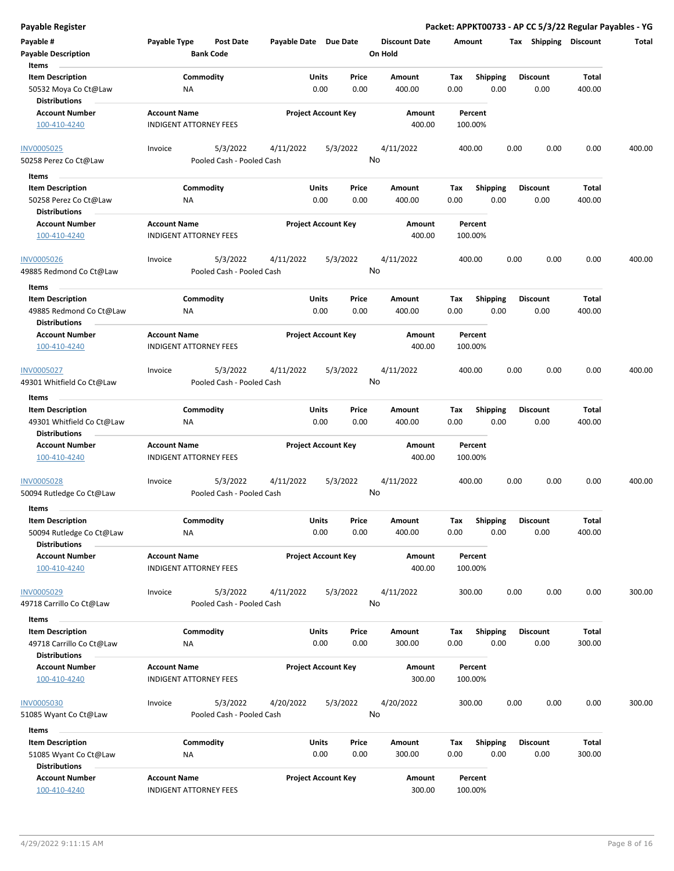**Payable Register Packet: APPKT00733 - AP CC 5/3/22 Regular Payables - YG**

| Payable #                                        | Payable Type                  | <b>Post Date</b>                      | Payable Date Due Date |                            |          | <b>Discount Date</b> | Amount  |                 |      | Tax Shipping    | <b>Discount</b> | <b>Total</b> |
|--------------------------------------------------|-------------------------------|---------------------------------------|-----------------------|----------------------------|----------|----------------------|---------|-----------------|------|-----------------|-----------------|--------------|
| <b>Payable Description</b>                       |                               | <b>Bank Code</b>                      |                       |                            |          | On Hold              |         |                 |      |                 |                 |              |
| Items                                            |                               |                                       |                       |                            |          |                      |         |                 |      |                 |                 |              |
| <b>Item Description</b>                          |                               | Commodity                             |                       | Units                      | Price    | Amount               | Tax     | <b>Shipping</b> |      | <b>Discount</b> | <b>Total</b>    |              |
| 50532 Moya Co Ct@Law                             | NA                            |                                       |                       | 0.00                       | 0.00     | 400.00               | 0.00    | 0.00            |      | 0.00            | 400.00          |              |
| <b>Distributions</b>                             |                               |                                       |                       |                            |          |                      |         |                 |      |                 |                 |              |
| <b>Account Number</b>                            | <b>Account Name</b>           |                                       |                       | <b>Project Account Key</b> |          | Amount               | Percent |                 |      |                 |                 |              |
| 100-410-4240                                     | <b>INDIGENT ATTORNEY FEES</b> |                                       |                       |                            |          | 400.00               | 100.00% |                 |      |                 |                 |              |
|                                                  |                               |                                       |                       |                            |          |                      |         |                 |      |                 |                 |              |
| <b>INV0005025</b>                                | Invoice                       | 5/3/2022                              | 4/11/2022             |                            | 5/3/2022 | 4/11/2022            | 400.00  |                 | 0.00 | 0.00            | 0.00            | 400.00       |
| 50258 Perez Co Ct@Law                            |                               | Pooled Cash - Pooled Cash             |                       |                            |          | No                   |         |                 |      |                 |                 |              |
| Items                                            |                               |                                       |                       |                            |          |                      |         |                 |      |                 |                 |              |
| <b>Item Description</b>                          |                               | Commodity                             |                       | Units                      | Price    | Amount               | Tax     | <b>Shipping</b> |      | <b>Discount</b> | <b>Total</b>    |              |
| 50258 Perez Co Ct@Law                            | NA                            |                                       |                       | 0.00                       | 0.00     | 400.00               | 0.00    | 0.00            |      | 0.00            | 400.00          |              |
| <b>Distributions</b>                             |                               |                                       |                       |                            |          |                      |         |                 |      |                 |                 |              |
| <b>Account Number</b>                            | <b>Account Name</b>           |                                       |                       | <b>Project Account Key</b> |          | Amount               | Percent |                 |      |                 |                 |              |
| 100-410-4240                                     | <b>INDIGENT ATTORNEY FEES</b> |                                       |                       |                            |          | 400.00               | 100.00% |                 |      |                 |                 |              |
|                                                  |                               |                                       |                       |                            |          |                      |         |                 |      |                 |                 |              |
| <b>INV0005026</b>                                | Invoice                       | 5/3/2022                              | 4/11/2022             |                            | 5/3/2022 | 4/11/2022            | 400.00  |                 | 0.00 | 0.00            | 0.00            | 400.00       |
| 49885 Redmond Co Ct@Law                          |                               | Pooled Cash - Pooled Cash             |                       |                            |          | No                   |         |                 |      |                 |                 |              |
|                                                  |                               |                                       |                       |                            |          |                      |         |                 |      |                 |                 |              |
| Items                                            |                               |                                       |                       |                            |          |                      |         |                 |      |                 |                 |              |
| <b>Item Description</b>                          |                               | Commodity                             |                       | Units                      | Price    | Amount               | Tax     | <b>Shipping</b> |      | <b>Discount</b> | <b>Total</b>    |              |
| 49885 Redmond Co Ct@Law                          | ΝA                            |                                       |                       | 0.00                       | 0.00     | 400.00               | 0.00    | 0.00            |      | 0.00            | 400.00          |              |
| <b>Distributions</b>                             |                               |                                       |                       |                            |          |                      |         |                 |      |                 |                 |              |
| <b>Account Number</b>                            | <b>Account Name</b>           |                                       |                       | <b>Project Account Key</b> |          | Amount               | Percent |                 |      |                 |                 |              |
| 100-410-4240                                     | <b>INDIGENT ATTORNEY FEES</b> |                                       |                       |                            |          | 400.00               | 100.00% |                 |      |                 |                 |              |
|                                                  |                               |                                       |                       |                            |          |                      |         |                 |      |                 |                 |              |
| INV0005027                                       | Invoice                       | 5/3/2022                              | 4/11/2022             |                            | 5/3/2022 | 4/11/2022            | 400.00  |                 | 0.00 | 0.00            | 0.00            | 400.00       |
| 49301 Whitfield Co Ct@Law                        |                               | Pooled Cash - Pooled Cash             |                       |                            |          | No                   |         |                 |      |                 |                 |              |
| Items                                            |                               |                                       |                       |                            |          |                      |         |                 |      |                 |                 |              |
| <b>Item Description</b>                          |                               | Commodity                             |                       | Units                      | Price    | Amount               | Tax     | <b>Shipping</b> |      | <b>Discount</b> | Total           |              |
| 49301 Whitfield Co Ct@Law                        | <b>NA</b>                     |                                       |                       | 0.00                       | 0.00     | 400.00               | 0.00    | 0.00            |      | 0.00            | 400.00          |              |
| <b>Distributions</b>                             |                               |                                       |                       |                            |          |                      |         |                 |      |                 |                 |              |
| <b>Account Number</b>                            | <b>Account Name</b>           |                                       |                       | <b>Project Account Key</b> |          | Amount               | Percent |                 |      |                 |                 |              |
| 100-410-4240                                     | <b>INDIGENT ATTORNEY FEES</b> |                                       |                       |                            |          | 400.00               | 100.00% |                 |      |                 |                 |              |
|                                                  |                               |                                       |                       |                            |          |                      |         |                 |      |                 |                 |              |
| INV0005028                                       | Invoice                       | 5/3/2022                              | 4/11/2022             |                            | 5/3/2022 | 4/11/2022            | 400.00  |                 | 0.00 | 0.00            | 0.00            | 400.00       |
| 50094 Rutledge Co Ct@Law                         |                               | Pooled Cash - Pooled Cash             |                       |                            |          | No                   |         |                 |      |                 |                 |              |
| Items                                            |                               |                                       |                       |                            |          |                      |         |                 |      |                 |                 |              |
| <b>Item Description</b>                          |                               | Commodity                             |                       | Units                      | Price    | Amount               | Tax     | <b>Shipping</b> |      | <b>Discount</b> | Total           |              |
| 50094 Rutledge Co Ct@Law                         | ΝA                            |                                       |                       | 0.00                       | 0.00     | 400.00               | 0.00    | 0.00            |      | 0.00            | 400.00          |              |
| <b>Distributions</b>                             |                               |                                       |                       |                            |          |                      |         |                 |      |                 |                 |              |
| <b>Account Number</b>                            | <b>Account Name</b>           |                                       |                       | <b>Project Account Key</b> |          | Amount               | Percent |                 |      |                 |                 |              |
| 100-410-4240                                     | <b>INDIGENT ATTORNEY FEES</b> |                                       |                       |                            |          | 400.00               | 100.00% |                 |      |                 |                 |              |
|                                                  |                               |                                       |                       |                            |          |                      |         |                 |      |                 |                 |              |
| <b>INV0005029</b>                                | Invoice                       | 5/3/2022                              | 4/11/2022             |                            | 5/3/2022 | 4/11/2022            | 300.00  |                 | 0.00 | 0.00            | 0.00            | 300.00       |
| 49718 Carrillo Co Ct@Law                         |                               | Pooled Cash - Pooled Cash             |                       |                            |          | No                   |         |                 |      |                 |                 |              |
|                                                  |                               |                                       |                       |                            |          |                      |         |                 |      |                 |                 |              |
| Items                                            |                               |                                       |                       |                            |          |                      |         |                 |      | <b>Discount</b> |                 |              |
| <b>Item Description</b>                          |                               | Commodity                             |                       | Units                      | Price    | Amount               | Tax     | <b>Shipping</b> |      |                 | Total           |              |
| 49718 Carrillo Co Ct@Law<br><b>Distributions</b> | NA                            |                                       |                       | 0.00                       | 0.00     | 300.00               | 0.00    | 0.00            |      | 0.00            | 300.00          |              |
|                                                  |                               |                                       |                       |                            |          |                      |         |                 |      |                 |                 |              |
| <b>Account Number</b>                            | <b>Account Name</b>           |                                       |                       | <b>Project Account Key</b> |          | Amount               | Percent |                 |      |                 |                 |              |
| 100-410-4240                                     | <b>INDIGENT ATTORNEY FEES</b> |                                       |                       |                            |          | 300.00               | 100.00% |                 |      |                 |                 |              |
|                                                  | Invoice                       |                                       |                       |                            |          |                      | 300.00  |                 | 0.00 | 0.00            | 0.00            | 300.00       |
| INV0005030                                       |                               | 5/3/2022<br>Pooled Cash - Pooled Cash | 4/20/2022             |                            | 5/3/2022 | 4/20/2022<br>No      |         |                 |      |                 |                 |              |
| 51085 Wyant Co Ct@Law                            |                               |                                       |                       |                            |          |                      |         |                 |      |                 |                 |              |
| Items                                            |                               |                                       |                       |                            |          |                      |         |                 |      |                 |                 |              |
| <b>Item Description</b>                          |                               | Commodity                             |                       | Units                      | Price    | Amount               | Tax     | <b>Shipping</b> |      | <b>Discount</b> | <b>Total</b>    |              |
| 51085 Wyant Co Ct@Law                            | ΝA                            |                                       |                       | 0.00                       | 0.00     | 300.00               | 0.00    | 0.00            |      | 0.00            | 300.00          |              |
| <b>Distributions</b>                             |                               |                                       |                       |                            |          |                      |         |                 |      |                 |                 |              |
| <b>Account Number</b>                            | <b>Account Name</b>           |                                       |                       | <b>Project Account Key</b> |          | Amount               | Percent |                 |      |                 |                 |              |
| 100-410-4240                                     | <b>INDIGENT ATTORNEY FEES</b> |                                       |                       |                            |          | 300.00               | 100.00% |                 |      |                 |                 |              |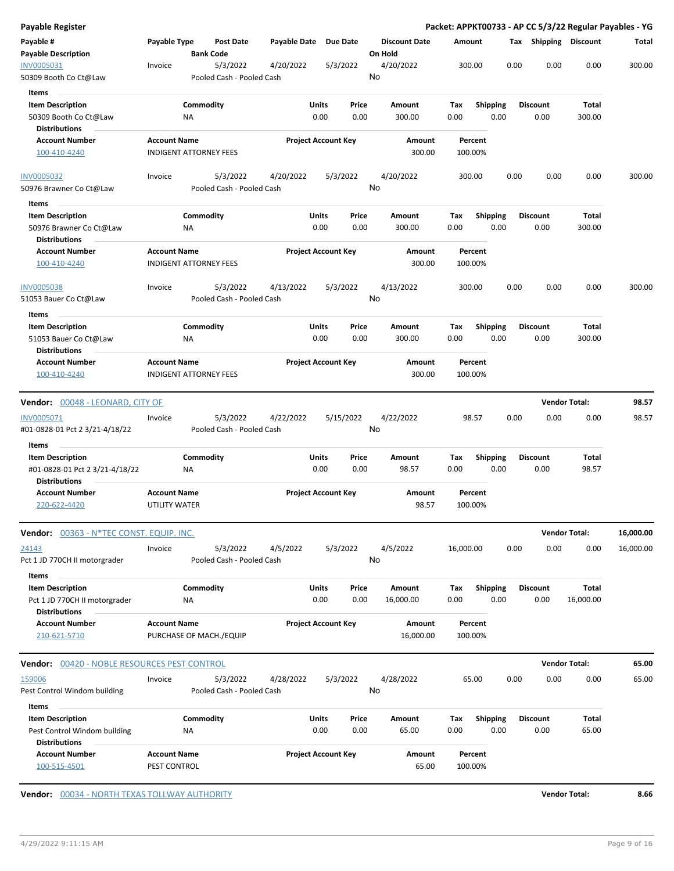| Payable Register                                                           |                                                      |                                       |                       |                            |                                 |                    |                         |                         |      |                      | Packet: APPKT00733 - AP CC 5/3/22 Regular Payables - YG |
|----------------------------------------------------------------------------|------------------------------------------------------|---------------------------------------|-----------------------|----------------------------|---------------------------------|--------------------|-------------------------|-------------------------|------|----------------------|---------------------------------------------------------|
| Payable #<br><b>Payable Description</b>                                    | Payable Type                                         | Post Date<br><b>Bank Code</b>         | Payable Date Due Date |                            | <b>Discount Date</b><br>On Hold | Amount             |                         | Tax Shipping Discount   |      |                      | Total                                                   |
| INV0005031<br>50309 Booth Co Ct@Law                                        | Invoice                                              | 5/3/2022<br>Pooled Cash - Pooled Cash | 4/20/2022             | 5/3/2022                   | 4/20/2022<br>No                 | 300.00             |                         | 0.00                    | 0.00 | 0.00                 | 300.00                                                  |
| Items                                                                      |                                                      |                                       |                       |                            |                                 |                    |                         |                         |      |                      |                                                         |
| <b>Item Description</b><br>50309 Booth Co Ct@Law                           | ΝA                                                   | Commodity                             | Units<br>0.00         | Price<br>0.00              | Amount<br>300.00                | Tax<br>0.00        | <b>Shipping</b><br>0.00 | <b>Discount</b><br>0.00 |      | Total<br>300.00      |                                                         |
| <b>Distributions</b>                                                       |                                                      |                                       |                       |                            |                                 |                    |                         |                         |      |                      |                                                         |
| <b>Account Number</b><br>100-410-4240                                      | <b>Account Name</b><br><b>INDIGENT ATTORNEY FEES</b> |                                       |                       | <b>Project Account Key</b> | Amount<br>300.00                | Percent<br>100.00% |                         |                         |      |                      |                                                         |
| <b>INV0005032</b>                                                          | Invoice                                              | 5/3/2022                              | 4/20/2022             | 5/3/2022                   | 4/20/2022                       | 300.00             |                         | 0.00                    | 0.00 | 0.00                 | 300.00                                                  |
| 50976 Brawner Co Ct@Law                                                    |                                                      | Pooled Cash - Pooled Cash             |                       |                            | No                              |                    |                         |                         |      |                      |                                                         |
| Items                                                                      |                                                      |                                       |                       |                            |                                 |                    |                         |                         |      |                      |                                                         |
| <b>Item Description</b><br>50976 Brawner Co Ct@Law<br><b>Distributions</b> | NA                                                   | Commodity                             | <b>Units</b><br>0.00  | Price<br>0.00              | Amount<br>300.00                | Tax<br>0.00        | <b>Shipping</b><br>0.00 | <b>Discount</b><br>0.00 |      | Total<br>300.00      |                                                         |
| <b>Account Number</b><br>100-410-4240                                      | <b>Account Name</b><br><b>INDIGENT ATTORNEY FEES</b> |                                       |                       | <b>Project Account Key</b> | Amount<br>300.00                | Percent<br>100.00% |                         |                         |      |                      |                                                         |
|                                                                            |                                                      |                                       |                       |                            |                                 |                    |                         |                         |      |                      |                                                         |
| INV0005038<br>51053 Bauer Co Ct@Law                                        | Invoice                                              | 5/3/2022<br>Pooled Cash - Pooled Cash | 4/13/2022             | 5/3/2022                   | 4/13/2022<br>No                 | 300.00             |                         | 0.00                    | 0.00 | 0.00                 | 300.00                                                  |
| Items                                                                      |                                                      |                                       |                       |                            |                                 |                    |                         |                         |      |                      |                                                         |
| <b>Item Description</b><br>51053 Bauer Co Ct@Law                           | ΝA                                                   | Commodity                             | Units<br>0.00         | Price<br>0.00              | Amount<br>300.00                | Tax<br>0.00        | Shipping<br>0.00        | <b>Discount</b><br>0.00 |      | Total<br>300.00      |                                                         |
| <b>Distributions</b><br><b>Account Number</b>                              | <b>Account Name</b>                                  |                                       |                       | <b>Project Account Key</b> | Amount                          | Percent            |                         |                         |      |                      |                                                         |
| 100-410-4240                                                               | <b>INDIGENT ATTORNEY FEES</b>                        |                                       |                       |                            | 300.00                          | 100.00%            |                         |                         |      |                      |                                                         |
| Vendor: 00048 - LEONARD, CITY OF                                           |                                                      |                                       |                       |                            |                                 |                    |                         |                         |      | <b>Vendor Total:</b> | 98.57                                                   |
| INV0005071<br>#01-0828-01 Pct 2 3/21-4/18/22                               | Invoice                                              | 5/3/2022<br>Pooled Cash - Pooled Cash | 4/22/2022             | 5/15/2022                  | 4/22/2022<br>No                 | 98.57              |                         | 0.00                    | 0.00 | 0.00                 | 98.57                                                   |
| Items<br><b>Item Description</b>                                           |                                                      | Commodity                             | Units                 | Price                      |                                 |                    |                         | <b>Discount</b>         |      | Total                |                                                         |
| #01-0828-01 Pct 2 3/21-4/18/22<br><b>Distributions</b>                     | ΝA                                                   |                                       | 0.00                  | 0.00                       | Amount<br>98.57                 | Tax<br>0.00        | <b>Shipping</b><br>0.00 | 0.00                    |      | 98.57                |                                                         |
| <b>Account Number</b><br>220-622-4420                                      | <b>Account Name</b><br><b>UTILITY WATER</b>          |                                       |                       | <b>Project Account Key</b> | Amount<br>98.57                 | Percent<br>100.00% |                         |                         |      |                      |                                                         |
| Vendor: 00363 - N*TEC CONST. EQUIP. INC.                                   |                                                      |                                       |                       |                            |                                 |                    |                         |                         |      | <b>Vendor Total:</b> | 16,000.00                                               |
| 24143<br>Pct 1 JD 770CH II motorgrader                                     | Invoice                                              | 5/3/2022<br>Pooled Cash - Pooled Cash | 4/5/2022              | 5/3/2022                   | 4/5/2022<br>No                  | 16,000.00          |                         | 0.00                    | 0.00 | 0.00                 | 16,000.00                                               |
| Items                                                                      |                                                      |                                       |                       |                            |                                 |                    |                         |                         |      |                      |                                                         |
| <b>Item Description</b>                                                    |                                                      | Commodity                             | Units                 | Price                      | Amount                          | Тах                | <b>Shipping</b>         | <b>Discount</b>         |      | Total                |                                                         |
| Pct 1 JD 770CH II motorgrader<br><b>Distributions</b>                      | ΝA                                                   |                                       | 0.00                  | 0.00                       | 16,000.00                       | 0.00               | 0.00                    | 0.00                    |      | 16,000.00            |                                                         |
| <b>Account Number</b>                                                      | <b>Account Name</b>                                  |                                       |                       | <b>Project Account Key</b> | Amount                          | Percent            |                         |                         |      |                      |                                                         |
| 210-621-5710                                                               |                                                      | PURCHASE OF MACH./EQUIP               |                       |                            | 16,000.00                       | 100.00%            |                         |                         |      |                      |                                                         |
| <b>Vendor:</b> 00420 - NOBLE RESOURCES PEST CONTROL                        |                                                      |                                       |                       |                            |                                 |                    |                         |                         |      | <b>Vendor Total:</b> | 65.00                                                   |
| 159006<br>Pest Control Windom building                                     | Invoice                                              | 5/3/2022<br>Pooled Cash - Pooled Cash | 4/28/2022             | 5/3/2022                   | 4/28/2022<br>No                 | 65.00              |                         | 0.00                    | 0.00 | 0.00                 | 65.00                                                   |
|                                                                            |                                                      |                                       |                       |                            |                                 |                    |                         |                         |      |                      |                                                         |
| Items<br><b>Item Description</b>                                           |                                                      | Commodity                             | Units                 |                            |                                 |                    |                         |                         |      |                      |                                                         |
| Pest Control Windom building                                               | ΝA                                                   |                                       | 0.00                  | Price<br>0.00              | Amount<br>65.00                 | Tax<br>0.00        | <b>Shipping</b><br>0.00 | <b>Discount</b><br>0.00 |      | Total<br>65.00       |                                                         |
| <b>Distributions</b>                                                       |                                                      |                                       |                       |                            |                                 |                    |                         |                         |      |                      |                                                         |

**Vendor:** 00034 - NORTH TEXAS TOLLWAY AUTHORITY **Vendor Total: 8.66**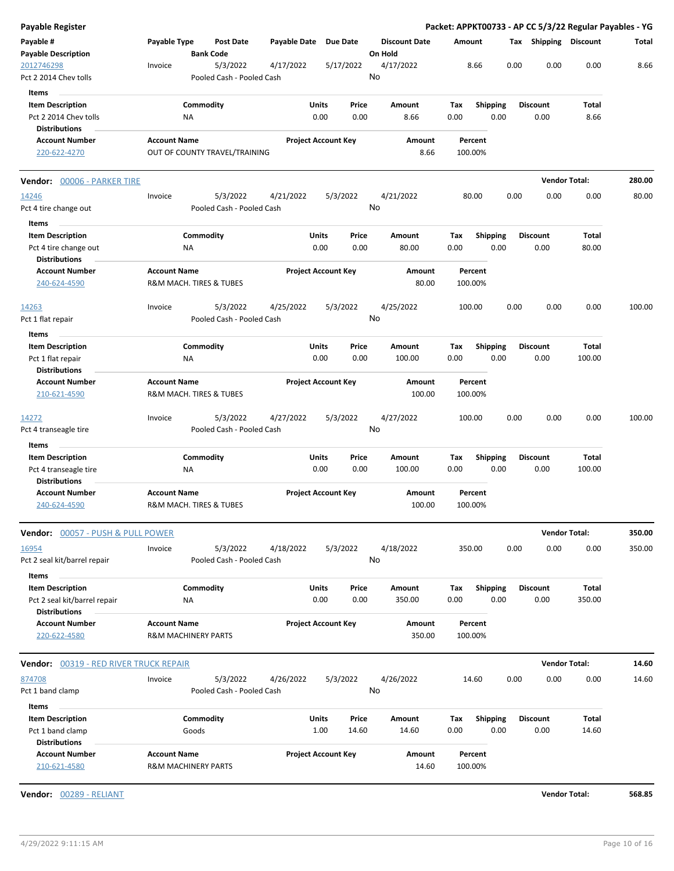| <b>Payable Register</b>                       |                     |                                        |              |                            |                      | Packet: APPKT00733 - AP CC 5/3/22 Regular Payables - YG |                 |                       |                      |        |
|-----------------------------------------------|---------------------|----------------------------------------|--------------|----------------------------|----------------------|---------------------------------------------------------|-----------------|-----------------------|----------------------|--------|
| Payable #                                     | Payable Type        | Post Date                              | Payable Date | Due Date                   | <b>Discount Date</b> | Amount                                                  |                 | Tax Shipping Discount |                      | Total  |
| <b>Payable Description</b>                    |                     | <b>Bank Code</b>                       |              |                            | On Hold              |                                                         |                 |                       |                      |        |
| 2012746298                                    | Invoice             | 5/3/2022                               | 4/17/2022    | 5/17/2022                  | 4/17/2022            | 8.66                                                    | 0.00            | 0.00                  | 0.00                 | 8.66   |
| Pct 2 2014 Chev tolls                         |                     | Pooled Cash - Pooled Cash              |              |                            | No                   |                                                         |                 |                       |                      |        |
| Items                                         |                     |                                        |              |                            |                      |                                                         |                 |                       |                      |        |
| <b>Item Description</b>                       |                     | Commodity                              |              | Units<br>Price             | Amount               | Tax                                                     | <b>Shipping</b> | <b>Discount</b>       | Total                |        |
| Pct 2 2014 Chev tolls                         | ΝA                  |                                        |              | 0.00<br>0.00               | 8.66                 | 0.00                                                    | 0.00            | 0.00                  | 8.66                 |        |
| <b>Distributions</b>                          |                     |                                        |              |                            |                      |                                                         |                 |                       |                      |        |
| <b>Account Number</b>                         | <b>Account Name</b> |                                        |              | <b>Project Account Key</b> | Amount               | Percent                                                 |                 |                       |                      |        |
| 220-622-4270                                  |                     | OUT OF COUNTY TRAVEL/TRAINING          |              |                            | 8.66                 | 100.00%                                                 |                 |                       |                      |        |
| Vendor: 00006 - PARKER TIRE                   |                     |                                        |              |                            |                      |                                                         |                 |                       | <b>Vendor Total:</b> | 280.00 |
| 14246                                         | Invoice             | 5/3/2022                               | 4/21/2022    | 5/3/2022                   | 4/21/2022            | 80.00                                                   | 0.00            | 0.00                  | 0.00                 | 80.00  |
| Pct 4 tire change out                         |                     | Pooled Cash - Pooled Cash              |              |                            | No                   |                                                         |                 |                       |                      |        |
|                                               |                     |                                        |              |                            |                      |                                                         |                 |                       |                      |        |
| Items                                         |                     |                                        |              |                            |                      |                                                         |                 |                       |                      |        |
| <b>Item Description</b>                       |                     | Commodity                              |              | Units<br>Price             | Amount               | Tax                                                     | <b>Shipping</b> | <b>Discount</b>       | Total                |        |
| Pct 4 tire change out                         | ΝA                  |                                        |              | 0.00<br>0.00               | 80.00                | 0.00                                                    | 0.00            | 0.00                  | 80.00                |        |
| <b>Distributions</b>                          |                     |                                        |              |                            |                      |                                                         |                 |                       |                      |        |
| <b>Account Number</b>                         | <b>Account Name</b> |                                        |              | <b>Project Account Key</b> | Amount               | Percent                                                 |                 |                       |                      |        |
| 240-624-4590                                  |                     | R&M MACH. TIRES & TUBES                |              |                            | 80.00                | 100.00%                                                 |                 |                       |                      |        |
| 14263                                         | Invoice             | 5/3/2022                               | 4/25/2022    | 5/3/2022                   | 4/25/2022            | 100.00                                                  | 0.00            | 0.00                  | 0.00                 | 100.00 |
| Pct 1 flat repair                             |                     | Pooled Cash - Pooled Cash              |              |                            | No                   |                                                         |                 |                       |                      |        |
|                                               |                     |                                        |              |                            |                      |                                                         |                 |                       |                      |        |
| Items                                         |                     |                                        |              |                            |                      |                                                         |                 |                       |                      |        |
| <b>Item Description</b>                       |                     | Commodity                              |              | Units<br>Price             | Amount               | Tax                                                     | <b>Shipping</b> | <b>Discount</b>       | Total                |        |
| Pct 1 flat repair                             | NA                  |                                        |              | 0.00<br>0.00               | 100.00               | 0.00                                                    | 0.00            | 0.00                  | 100.00               |        |
| <b>Distributions</b>                          |                     |                                        |              |                            |                      |                                                         |                 |                       |                      |        |
| <b>Account Number</b>                         | <b>Account Name</b> |                                        |              | <b>Project Account Key</b> | Amount               | Percent                                                 |                 |                       |                      |        |
| 210-621-4590                                  |                     | R&M MACH. TIRES & TUBES                |              |                            | 100.00               | 100.00%                                                 |                 |                       |                      |        |
| 14272                                         | Invoice             | 5/3/2022                               | 4/27/2022    | 5/3/2022                   | 4/27/2022            | 100.00                                                  | 0.00            | 0.00                  | 0.00                 | 100.00 |
| Pct 4 transeagle tire                         |                     | Pooled Cash - Pooled Cash              |              |                            | No                   |                                                         |                 |                       |                      |        |
|                                               |                     |                                        |              |                            |                      |                                                         |                 |                       |                      |        |
| <b>Items</b>                                  |                     |                                        |              |                            |                      |                                                         |                 | <b>Discount</b>       |                      |        |
| <b>Item Description</b>                       |                     | Commodity                              |              | Units<br>Price             | Amount               | Tax                                                     | <b>Shipping</b> |                       | Total                |        |
| Pct 4 transeagle tire<br><b>Distributions</b> | ΝA                  |                                        |              | 0.00<br>0.00               | 100.00               | 0.00                                                    | 0.00            | 0.00                  | 100.00               |        |
| <b>Account Number</b>                         | <b>Account Name</b> |                                        |              | <b>Project Account Key</b> | Amount               | Percent                                                 |                 |                       |                      |        |
| 240-624-4590                                  |                     | <b>R&amp;M MACH. TIRES &amp; TUBES</b> |              |                            | 100.00               | 100.00%                                                 |                 |                       |                      |        |
| Vendor: 00057 - PUSH & PULL POWER             |                     |                                        |              |                            |                      |                                                         |                 |                       | <b>Vendor Total:</b> | 350.00 |
| 16954                                         | Invoice             | 5/3/2022                               | 4/18/2022    | 5/3/2022                   | 4/18/2022            | 350.00                                                  | 0.00            | 0.00                  | 0.00                 | 350.00 |
| Pct 2 seal kit/barrel repair                  |                     | Pooled Cash - Pooled Cash              |              |                            | No                   |                                                         |                 |                       |                      |        |
|                                               |                     |                                        |              |                            |                      |                                                         |                 |                       |                      |        |
| Items                                         |                     |                                        |              |                            |                      |                                                         |                 |                       |                      |        |
| <b>Item Description</b>                       |                     | Commodity                              |              | Units<br>Price             | Amount               | Tax                                                     | <b>Shipping</b> | <b>Discount</b>       | Total                |        |
| Pct 2 seal kit/barrel repair                  | NA                  |                                        |              | 0.00<br>0.00               | 350.00               | 0.00                                                    | 0.00            | 0.00                  | 350.00               |        |
| <b>Distributions</b>                          |                     |                                        |              |                            |                      |                                                         |                 |                       |                      |        |
| <b>Account Number</b><br>220-622-4580         | <b>Account Name</b> | <b>R&amp;M MACHINERY PARTS</b>         |              | <b>Project Account Key</b> | Amount<br>350.00     | Percent<br>100.00%                                      |                 |                       |                      |        |
|                                               |                     |                                        |              |                            |                      |                                                         |                 |                       |                      |        |
| Vendor: 00319 - RED RIVER TRUCK REPAIR        |                     |                                        |              |                            |                      |                                                         |                 |                       | <b>Vendor Total:</b> | 14.60  |
| 874708                                        | Invoice             | 5/3/2022                               | 4/26/2022    | 5/3/2022                   | 4/26/2022            | 14.60                                                   | 0.00            | 0.00                  | 0.00                 | 14.60  |
| Pct 1 band clamp                              |                     | Pooled Cash - Pooled Cash              |              |                            | No                   |                                                         |                 |                       |                      |        |
| Items                                         |                     |                                        |              |                            |                      |                                                         |                 |                       |                      |        |
| <b>Item Description</b>                       |                     | Commodity                              |              | Units<br>Price             | Amount               | Tax                                                     | <b>Shipping</b> | <b>Discount</b>       | Total                |        |
| Pct 1 band clamp                              |                     | Goods                                  |              | 1.00<br>14.60              | 14.60                | 0.00                                                    | 0.00            | 0.00                  | 14.60                |        |
| <b>Distributions</b>                          |                     |                                        |              |                            |                      |                                                         |                 |                       |                      |        |
| <b>Account Number</b>                         | <b>Account Name</b> |                                        |              | <b>Project Account Key</b> | Amount               | Percent                                                 |                 |                       |                      |        |
| 210-621-4580                                  |                     | <b>R&amp;M MACHINERY PARTS</b>         |              |                            | 14.60                | 100.00%                                                 |                 |                       |                      |        |
| Vendor: 00289 - RELIANT                       |                     |                                        |              |                            |                      |                                                         |                 |                       | <b>Vendor Total:</b> | 568.85 |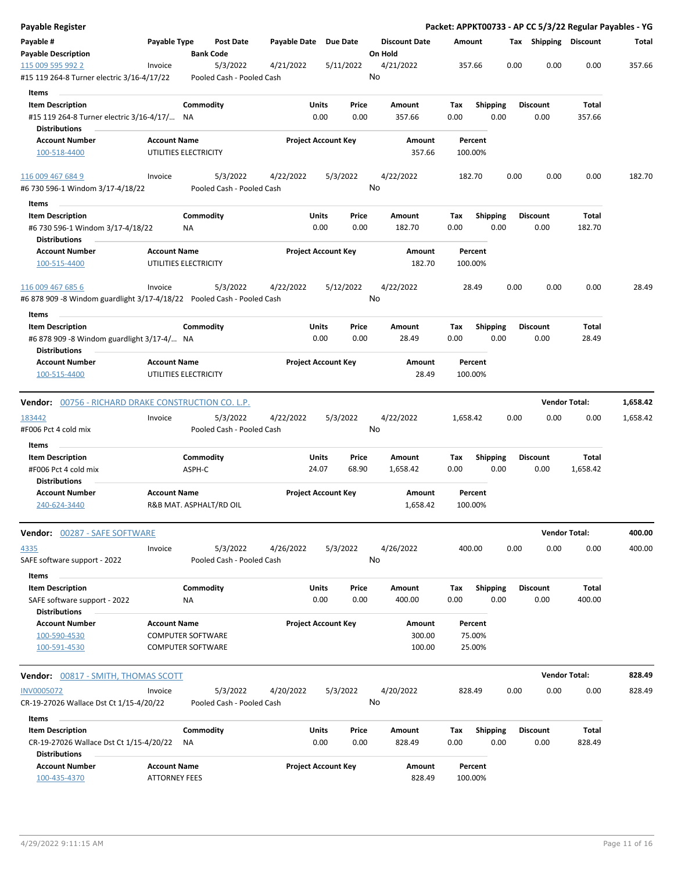| <b>Payable Register</b>                                                                        |                                             |                                       |                       |                            |                                 |                    |                         | Packet: APPKT00733 - AP CC 5/3/22 Regular Payables - YG |                      |          |
|------------------------------------------------------------------------------------------------|---------------------------------------------|---------------------------------------|-----------------------|----------------------------|---------------------------------|--------------------|-------------------------|---------------------------------------------------------|----------------------|----------|
| Payable #<br><b>Payable Description</b>                                                        | Payable Type                                | <b>Post Date</b><br><b>Bank Code</b>  | Payable Date Due Date |                            | <b>Discount Date</b><br>On Hold | Amount             |                         | Tax Shipping Discount                                   |                      | Total    |
| 115 009 595 992 2                                                                              | Invoice                                     | 5/3/2022                              | 4/21/2022             | 5/11/2022                  | 4/21/2022<br>No                 | 357.66             |                         | 0.00<br>0.00                                            | 0.00                 | 357.66   |
| #15 119 264-8 Turner electric 3/16-4/17/22                                                     |                                             | Pooled Cash - Pooled Cash             |                       |                            |                                 |                    |                         |                                                         |                      |          |
| Items                                                                                          |                                             |                                       |                       |                            |                                 |                    |                         |                                                         |                      |          |
| <b>Item Description</b><br>#15 119 264-8 Turner electric 3/16-4/17/ NA                         |                                             | Commodity                             | Units                 | Price<br>0.00<br>0.00      | Amount<br>357.66                | Tax<br>0.00        | <b>Shipping</b><br>0.00 | <b>Discount</b><br>0.00                                 | Total<br>357.66      |          |
| <b>Distributions</b><br><b>Account Number</b>                                                  | <b>Account Name</b>                         |                                       |                       | <b>Project Account Key</b> | Amount                          | Percent            |                         |                                                         |                      |          |
| 100-518-4400                                                                                   |                                             | UTILITIES ELECTRICITY                 |                       |                            | 357.66                          | 100.00%            |                         |                                                         |                      |          |
| 116 009 467 684 9<br>#6 730 596-1 Windom 3/17-4/18/22                                          | Invoice                                     | 5/3/2022<br>Pooled Cash - Pooled Cash | 4/22/2022             | 5/3/2022                   | 4/22/2022<br>No                 | 182.70             |                         | 0.00<br>0.00                                            | 0.00                 | 182.70   |
|                                                                                                |                                             |                                       |                       |                            |                                 |                    |                         |                                                         |                      |          |
| Items                                                                                          |                                             |                                       |                       | Price                      |                                 |                    |                         | <b>Discount</b>                                         | Total                |          |
| <b>Item Description</b><br>#6 730 596-1 Windom 3/17-4/18/22<br><b>Distributions</b>            |                                             | Commodity<br>NA                       | <b>Units</b>          | 0.00<br>0.00               | Amount<br>182.70                | Tax<br>0.00        | <b>Shipping</b><br>0.00 | 0.00                                                    | 182.70               |          |
| <b>Account Number</b><br>100-515-4400                                                          | <b>Account Name</b>                         | UTILITIES ELECTRICITY                 |                       | <b>Project Account Key</b> | Amount<br>182.70                | Percent<br>100.00% |                         |                                                         |                      |          |
| 116 009 467 685 6<br>#6 878 909 -8 Windom guardlight 3/17-4/18/22    Pooled Cash - Pooled Cash | Invoice                                     | 5/3/2022                              | 4/22/2022             | 5/12/2022                  | 4/22/2022<br>No                 | 28.49              |                         | 0.00<br>0.00                                            | 0.00                 | 28.49    |
|                                                                                                |                                             |                                       |                       |                            |                                 |                    |                         |                                                         |                      |          |
| Items<br><b>Item Description</b>                                                               |                                             | Commodity                             | Units                 | Price                      | Amount                          | Tax                | <b>Shipping</b>         | <b>Discount</b>                                         | Total                |          |
| #6 878 909 -8 Windom guardlight 3/17-4/ NA<br><b>Distributions</b>                             |                                             |                                       |                       | 0.00<br>0.00               | 28.49                           | 0.00               | 0.00                    | 0.00                                                    | 28.49                |          |
| <b>Account Number</b>                                                                          | <b>Account Name</b>                         |                                       |                       | <b>Project Account Key</b> | Amount                          | Percent            |                         |                                                         |                      |          |
| 100-515-4400                                                                                   |                                             | UTILITIES ELECTRICITY                 |                       |                            | 28.49                           | 100.00%            |                         |                                                         |                      |          |
| <b>Vendor: 00756 - RICHARD DRAKE CONSTRUCTION CO. L.P.</b>                                     |                                             |                                       |                       |                            |                                 |                    |                         |                                                         | <b>Vendor Total:</b> | 1,658.42 |
| 183442                                                                                         | Invoice                                     | 5/3/2022                              | 4/22/2022             | 5/3/2022                   | 4/22/2022                       | 1,658.42           |                         | 0.00<br>0.00                                            | 0.00                 | 1,658.42 |
| #F006 Pct 4 cold mix                                                                           |                                             | Pooled Cash - Pooled Cash             |                       |                            | No                              |                    |                         |                                                         |                      |          |
| Items                                                                                          |                                             |                                       |                       |                            |                                 |                    |                         |                                                         |                      |          |
| <b>Item Description</b>                                                                        |                                             | Commodity                             | Units                 | Price                      | Amount                          | Tax                | Shipping                | <b>Discount</b>                                         | Total                |          |
| #F006 Pct 4 cold mix                                                                           |                                             | ASPH-C                                | 24.07                 | 68.90                      | 1,658.42                        | 0.00               | 0.00                    | 0.00                                                    | 1,658.42             |          |
| <b>Distributions</b><br><b>Account Number</b>                                                  | <b>Account Name</b>                         |                                       |                       | <b>Project Account Key</b> | Amount                          | Percent            |                         |                                                         |                      |          |
| 240-624-3440                                                                                   |                                             | R&B MAT. ASPHALT/RD OIL               |                       |                            | 1,658.42                        | 100.00%            |                         |                                                         |                      |          |
| Vendor: 00287 - SAFE SOFTWARE                                                                  |                                             |                                       |                       |                            |                                 |                    |                         |                                                         | <b>Vendor Total:</b> | 400.00   |
| 4335                                                                                           | Invoice                                     | 5/3/2022                              | 4/26/2022             | 5/3/2022                   | 4/26/2022                       | 400.00             |                         | 0.00<br>0.00                                            | 0.00                 | 400.00   |
| SAFE software support - 2022                                                                   |                                             | Pooled Cash - Pooled Cash             |                       |                            | No                              |                    |                         |                                                         |                      |          |
| Items                                                                                          |                                             |                                       |                       |                            |                                 |                    |                         |                                                         |                      |          |
| <b>Item Description</b>                                                                        |                                             | Commodity                             | Units                 | Price                      | Amount                          | Tax                | <b>Shipping</b>         | <b>Discount</b>                                         | Total                |          |
| SAFE software support - 2022<br><b>Distributions</b>                                           |                                             | NA                                    |                       | 0.00<br>0.00               | 400.00                          | 0.00               | 0.00                    | 0.00                                                    | 400.00               |          |
| <b>Account Number</b>                                                                          | <b>Account Name</b>                         |                                       |                       | <b>Project Account Key</b> | Amount                          | Percent            |                         |                                                         |                      |          |
| 100-590-4530                                                                                   |                                             | <b>COMPUTER SOFTWARE</b>              |                       |                            | 300.00                          | 75.00%             |                         |                                                         |                      |          |
| 100-591-4530                                                                                   |                                             | <b>COMPUTER SOFTWARE</b>              |                       |                            | 100.00                          | 25.00%             |                         |                                                         |                      |          |
| Vendor: 00817 - SMITH, THOMAS SCOTT                                                            |                                             |                                       |                       |                            |                                 |                    |                         |                                                         | <b>Vendor Total:</b> | 828.49   |
| <b>INV0005072</b>                                                                              | Invoice                                     | 5/3/2022                              | 4/20/2022             | 5/3/2022                   | 4/20/2022                       | 828.49             |                         | 0.00<br>0.00                                            | 0.00                 | 828.49   |
| CR-19-27026 Wallace Dst Ct 1/15-4/20/22                                                        |                                             | Pooled Cash - Pooled Cash             |                       |                            | No                              |                    |                         |                                                         |                      |          |
| Items                                                                                          |                                             |                                       |                       |                            |                                 |                    |                         |                                                         |                      |          |
| <b>Item Description</b><br>CR-19-27026 Wallace Dst Ct 1/15-4/20/22                             |                                             | Commodity<br>NA                       | Units                 | Price<br>0.00<br>0.00      | Amount<br>828.49                | Tax<br>0.00        | <b>Shipping</b><br>0.00 | <b>Discount</b><br>0.00                                 | Total<br>828.49      |          |
| Distributions                                                                                  |                                             |                                       |                       |                            |                                 |                    |                         |                                                         |                      |          |
| <b>Account Number</b><br>100-435-4370                                                          | <b>Account Name</b><br><b>ATTORNEY FEES</b> |                                       |                       | <b>Project Account Key</b> | Amount<br>828.49                | Percent<br>100.00% |                         |                                                         |                      |          |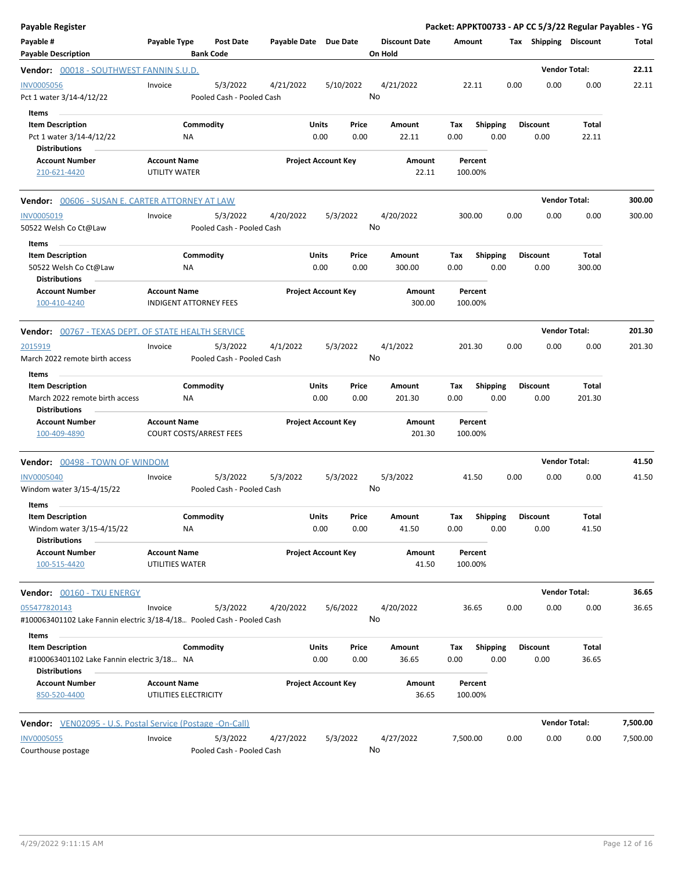| <b>Payable Register</b>                                                                 |                                              |                                       |                       |                                |                                 | Packet: APPKT00733 - AP CC 5/3/22 Regular Payables - YG |                         |                                  |                      |                 |          |
|-----------------------------------------------------------------------------------------|----------------------------------------------|---------------------------------------|-----------------------|--------------------------------|---------------------------------|---------------------------------------------------------|-------------------------|----------------------------------|----------------------|-----------------|----------|
| Payable #<br><b>Payable Description</b>                                                 | Payable Type                                 | <b>Post Date</b><br><b>Bank Code</b>  | Payable Date Due Date |                                | <b>Discount Date</b><br>On Hold | Amount                                                  |                         | Tax Shipping Discount            |                      |                 | Total    |
| Vendor: 00018 - SOUTHWEST FANNIN S.U.D.                                                 |                                              |                                       |                       |                                |                                 |                                                         |                         |                                  | <b>Vendor Total:</b> |                 | 22.11    |
| <b>INV0005056</b><br>Pct 1 water 3/14-4/12/22<br>Items                                  | Invoice                                      | 5/3/2022<br>Pooled Cash - Pooled Cash | 4/21/2022             | 5/10/2022                      | 4/21/2022<br>No                 | 22.11                                                   |                         | 0.00                             | 0.00                 | 0.00            | 22.11    |
| <b>Item Description</b><br>Pct 1 water 3/14-4/12/22<br><b>Distributions</b>             | ΝA                                           | Commodity                             |                       | Units<br>Price<br>0.00<br>0.00 | Amount<br>22.11                 | Tax<br>0.00                                             | <b>Shipping</b><br>0.00 | <b>Discount</b><br>0.00          |                      | Total<br>22.11  |          |
| <b>Account Number</b><br>210-621-4420                                                   | <b>Account Name</b><br>UTILITY WATER         |                                       |                       | <b>Project Account Key</b>     | Amount<br>22.11                 | Percent<br>100.00%                                      |                         |                                  |                      |                 |          |
| <b>Vendor:</b> 00606 - SUSAN E. CARTER ATTORNEY AT LAW                                  |                                              |                                       |                       |                                |                                 |                                                         |                         |                                  | <b>Vendor Total:</b> |                 | 300.00   |
| <b>INV0005019</b><br>50522 Welsh Co Ct@Law                                              | Invoice                                      | 5/3/2022<br>Pooled Cash - Pooled Cash | 4/20/2022             | 5/3/2022                       | 4/20/2022<br>No                 | 300.00                                                  |                         | 0.00                             | 0.00                 | 0.00            | 300.00   |
| Items<br><b>Item Description</b><br>50522 Welsh Co Ct@Law<br><b>Distributions</b>       | NA                                           | Commodity                             |                       | Units<br>Price<br>0.00<br>0.00 | Amount<br>300.00                | Tax<br>0.00                                             | Shipping<br>0.00        | <b>Discount</b><br>0.00          |                      | Total<br>300.00 |          |
| <b>Account Number</b><br>100-410-4240                                                   | <b>Account Name</b>                          | <b>INDIGENT ATTORNEY FEES</b>         |                       | <b>Project Account Key</b>     | Amount<br>300.00                | Percent<br>100.00%                                      |                         |                                  |                      |                 |          |
| <b>Vendor:</b> 00767 - TEXAS DEPT. OF STATE HEALTH SERVICE                              |                                              |                                       |                       |                                |                                 |                                                         |                         |                                  | <b>Vendor Total:</b> |                 | 201.30   |
| 2015919<br>March 2022 remote birth access<br>Items                                      | Invoice                                      | 5/3/2022<br>Pooled Cash - Pooled Cash | 4/1/2022              | 5/3/2022                       | 4/1/2022<br>No                  | 201.30                                                  |                         | 0.00                             | 0.00                 | 0.00            | 201.30   |
| <b>Item Description</b><br>March 2022 remote birth access<br><b>Distributions</b>       | ΝA                                           | Commodity                             |                       | Units<br>Price<br>0.00<br>0.00 | Amount<br>201.30                | Tax<br>0.00                                             | <b>Shipping</b><br>0.00 | <b>Discount</b><br>0.00          |                      | Total<br>201.30 |          |
| <b>Account Number</b><br>100-409-4890                                                   | <b>Account Name</b>                          | <b>COURT COSTS/ARREST FEES</b>        |                       | <b>Project Account Key</b>     | Amount<br>201.30                | Percent<br>100.00%                                      |                         |                                  |                      |                 |          |
| Vendor: 00498 - TOWN OF WINDOM                                                          |                                              |                                       |                       |                                |                                 |                                                         |                         |                                  | <b>Vendor Total:</b> |                 | 41.50    |
| <b>INV0005040</b><br>Windom water 3/15-4/15/22<br>Items                                 | Invoice                                      | 5/3/2022<br>Pooled Cash - Pooled Cash | 5/3/2022              | 5/3/2022                       | 5/3/2022<br>No                  | 41.50                                                   |                         | 0.00                             | 0.00                 | 0.00            | 41.50    |
| <b>Item Description</b><br>Windom water 3/15-4/15/22<br><b>Distributions</b>            | NA                                           | Commodity                             |                       | Units<br>Price<br>0.00<br>0.00 | Amount<br>41.50                 | Tax<br>0.00                                             | 0.00                    | <b>Shipping Discount</b><br>0.00 |                      | Total<br>41.50  |          |
| <b>Account Number</b><br>100-515-4420                                                   | <b>Account Name</b><br>UTILITIES WATER       |                                       |                       | <b>Project Account Key</b>     | Amount<br>41.50                 | Percent<br>100.00%                                      |                         |                                  |                      |                 |          |
| Vendor: 00160 - TXU ENERGY                                                              |                                              |                                       |                       |                                |                                 |                                                         |                         |                                  | <b>Vendor Total:</b> |                 | 36.65    |
| 055477820143<br>#100063401102 Lake Fannin electric 3/18-4/18. Pooled Cash - Pooled Cash | Invoice                                      | 5/3/2022                              | 4/20/2022             | 5/6/2022                       | 4/20/2022<br>No                 | 36.65                                                   |                         | 0.00                             | 0.00                 | 0.00            | 36.65    |
| Items<br><b>Item Description</b>                                                        |                                              | Commodity                             |                       | Units<br>Price                 | Amount                          | Тах                                                     | Shipping                | Discount                         |                      | Total           |          |
| #100063401102 Lake Fannin electric 3/18 NA<br><b>Distributions</b>                      |                                              |                                       |                       | 0.00<br>0.00                   | 36.65                           | 0.00                                                    | 0.00                    | 0.00                             |                      | 36.65           |          |
| <b>Account Number</b><br>850-520-4400                                                   | <b>Account Name</b><br>UTILITIES ELECTRICITY |                                       |                       | <b>Project Account Key</b>     | Amount<br>36.65                 | Percent<br>100.00%                                      |                         |                                  |                      |                 |          |
| <b>Vendor:</b> VEN02095 - U.S. Postal Service (Postage -On-Call)                        |                                              |                                       |                       |                                |                                 |                                                         |                         |                                  | <b>Vendor Total:</b> |                 | 7,500.00 |
| <b>INV0005055</b><br>Courthouse postage                                                 | Invoice                                      | 5/3/2022<br>Pooled Cash - Pooled Cash | 4/27/2022             | 5/3/2022                       | 4/27/2022<br>No                 | 7,500.00                                                |                         | 0.00                             | 0.00                 | 0.00            | 7,500.00 |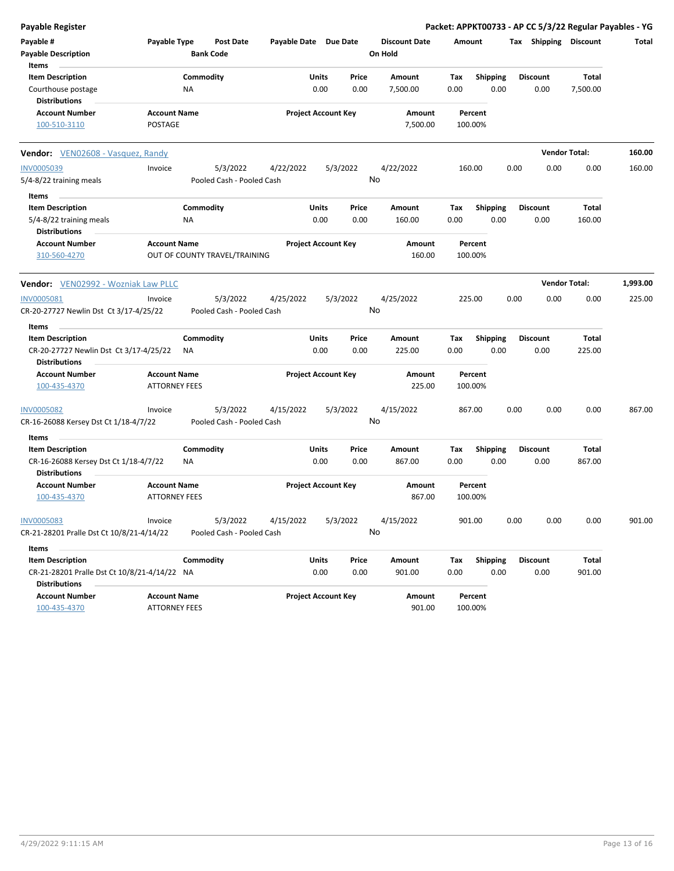| Payable Register                                                     |                      |                  |                                       |                       |       |                            |                 |                      |        |                    |      |                       | Packet: APPKT00733 - AP CC 5/3/22 Regular Payables - YG |          |
|----------------------------------------------------------------------|----------------------|------------------|---------------------------------------|-----------------------|-------|----------------------------|-----------------|----------------------|--------|--------------------|------|-----------------------|---------------------------------------------------------|----------|
| Payable #<br><b>Payable Description</b>                              | Payable Type         | <b>Bank Code</b> | Post Date                             | Payable Date Due Date |       |                            | On Hold         | <b>Discount Date</b> | Amount |                    |      | Tax Shipping Discount |                                                         | Total    |
| Items                                                                |                      |                  |                                       |                       |       |                            |                 |                      |        |                    |      |                       |                                                         |          |
| <b>Item Description</b>                                              |                      | Commodity        |                                       |                       | Units | Price                      |                 | Amount               | Tax    | <b>Shipping</b>    |      | <b>Discount</b>       | <b>Total</b>                                            |          |
| Courthouse postage<br><b>Distributions</b>                           |                      | ΝA               |                                       |                       | 0.00  | 0.00                       | 7,500.00        |                      | 0.00   | 0.00               |      | 0.00                  | 7,500.00                                                |          |
| <b>Account Number</b>                                                | <b>Account Name</b>  |                  |                                       |                       |       | <b>Project Account Key</b> |                 | Amount               |        | Percent            |      |                       |                                                         |          |
| 100-510-3110                                                         | POSTAGE              |                  |                                       |                       |       |                            |                 | 7,500.00             |        | 100.00%            |      |                       |                                                         |          |
| <b>Vendor:</b> VEN02608 - Vasquez, Randy                             |                      |                  |                                       |                       |       |                            |                 |                      |        |                    |      |                       | <b>Vendor Total:</b>                                    | 160.00   |
| <b>INV0005039</b>                                                    | Invoice              |                  | 5/3/2022                              | 4/22/2022             |       | 5/3/2022                   | 4/22/2022       |                      | 160.00 |                    | 0.00 | 0.00                  | 0.00                                                    | 160.00   |
| 5/4-8/22 training meals                                              |                      |                  | Pooled Cash - Pooled Cash             |                       |       |                            | No              |                      |        |                    |      |                       |                                                         |          |
| Items                                                                |                      |                  |                                       |                       |       |                            |                 |                      |        |                    |      |                       |                                                         |          |
| <b>Item Description</b>                                              |                      | Commodity        |                                       |                       | Units | Price                      |                 | Amount               | Tax    | <b>Shipping</b>    |      | <b>Discount</b>       | Total                                                   |          |
| 5/4-8/22 training meals<br><b>Distributions</b>                      |                      | <b>NA</b>        |                                       |                       | 0.00  | 0.00                       |                 | 160.00               | 0.00   | 0.00               |      | 0.00                  | 160.00                                                  |          |
| <b>Account Number</b><br>310-560-4270                                | <b>Account Name</b>  |                  | OUT OF COUNTY TRAVEL/TRAINING         |                       |       | <b>Project Account Key</b> |                 | Amount<br>160.00     |        | Percent<br>100.00% |      |                       |                                                         |          |
| Vendor: VEN02992 - Wozniak Law PLLC                                  |                      |                  |                                       |                       |       |                            |                 |                      |        |                    |      |                       | <b>Vendor Total:</b>                                    | 1,993.00 |
|                                                                      |                      |                  |                                       |                       |       |                            |                 |                      |        |                    |      |                       |                                                         |          |
| <b>INV0005081</b><br>CR-20-27727 Newlin Dst Ct 3/17-4/25/22          | Invoice              |                  | 5/3/2022<br>Pooled Cash - Pooled Cash | 4/25/2022             |       | 5/3/2022                   | 4/25/2022<br>No |                      | 225.00 |                    | 0.00 | 0.00                  | 0.00                                                    | 225.00   |
| Items                                                                |                      |                  |                                       |                       |       |                            |                 |                      |        |                    |      |                       |                                                         |          |
| <b>Item Description</b>                                              |                      | Commodity        |                                       |                       | Units | Price                      |                 | Amount               | Tax    | <b>Shipping</b>    |      | <b>Discount</b>       | Total                                                   |          |
| CR-20-27727 Newlin Dst Ct 3/17-4/25/22<br><b>Distributions</b>       |                      | ΝA               |                                       |                       | 0.00  | 0.00                       |                 | 225.00               | 0.00   | 0.00               |      | 0.00                  | 225.00                                                  |          |
| <b>Account Number</b>                                                | <b>Account Name</b>  |                  |                                       |                       |       | <b>Project Account Key</b> |                 | Amount               |        | Percent            |      |                       |                                                         |          |
| 100-435-4370                                                         | <b>ATTORNEY FEES</b> |                  |                                       |                       |       |                            |                 | 225.00               |        | 100.00%            |      |                       |                                                         |          |
| <b>INV0005082</b>                                                    | Invoice              |                  | 5/3/2022                              | 4/15/2022             |       | 5/3/2022                   | 4/15/2022       |                      | 867.00 |                    | 0.00 | 0.00                  | 0.00                                                    | 867.00   |
| CR-16-26088 Kersey Dst Ct 1/18-4/7/22                                |                      |                  | Pooled Cash - Pooled Cash             |                       |       |                            | No              |                      |        |                    |      |                       |                                                         |          |
| Items                                                                |                      |                  |                                       |                       |       |                            |                 |                      |        |                    |      |                       |                                                         |          |
| <b>Item Description</b>                                              |                      | Commodity        |                                       |                       | Units | Price                      |                 | Amount               | Tax    | <b>Shipping</b>    |      | <b>Discount</b>       | Total                                                   |          |
| CR-16-26088 Kersey Dst Ct 1/18-4/7/22                                |                      | <b>NA</b>        |                                       |                       | 0.00  | 0.00                       |                 | 867.00               | 0.00   | 0.00               |      | 0.00                  | 867.00                                                  |          |
| <b>Distributions</b>                                                 |                      |                  |                                       |                       |       |                            |                 |                      |        |                    |      |                       |                                                         |          |
| <b>Account Number</b>                                                | <b>Account Name</b>  |                  |                                       |                       |       | <b>Project Account Key</b> |                 | Amount               |        | Percent            |      |                       |                                                         |          |
| 100-435-4370                                                         | <b>ATTORNEY FEES</b> |                  |                                       |                       |       |                            |                 | 867.00               |        | 100.00%            |      |                       |                                                         |          |
| <b>INV0005083</b>                                                    | Invoice              |                  | 5/3/2022                              | 4/15/2022             |       | 5/3/2022                   | 4/15/2022       |                      | 901.00 |                    | 0.00 | 0.00                  | 0.00                                                    | 901.00   |
| CR-21-28201 Pralle Dst Ct 10/8/21-4/14/22                            |                      |                  | Pooled Cash - Pooled Cash             |                       |       |                            | No              |                      |        |                    |      |                       |                                                         |          |
| Items                                                                |                      |                  |                                       |                       |       |                            |                 |                      |        |                    |      |                       |                                                         |          |
| <b>Item Description</b>                                              |                      | Commodity        |                                       |                       | Units | Price                      |                 | Amount               | Tax    | <b>Shipping</b>    |      | <b>Discount</b>       | Total                                                   |          |
| CR-21-28201 Pralle Dst Ct 10/8/21-4/14/22 NA<br><b>Distributions</b> |                      |                  |                                       |                       | 0.00  | 0.00                       |                 | 901.00               | 0.00   | 0.00               |      | 0.00                  | 901.00                                                  |          |
| <b>Account Number</b>                                                | <b>Account Name</b>  |                  |                                       |                       |       | <b>Project Account Key</b> |                 | Amount               |        | Percent            |      |                       |                                                         |          |
| 100-435-4370                                                         | <b>ATTORNEY FEES</b> |                  |                                       |                       |       |                            |                 | 901.00               |        | 100.00%            |      |                       |                                                         |          |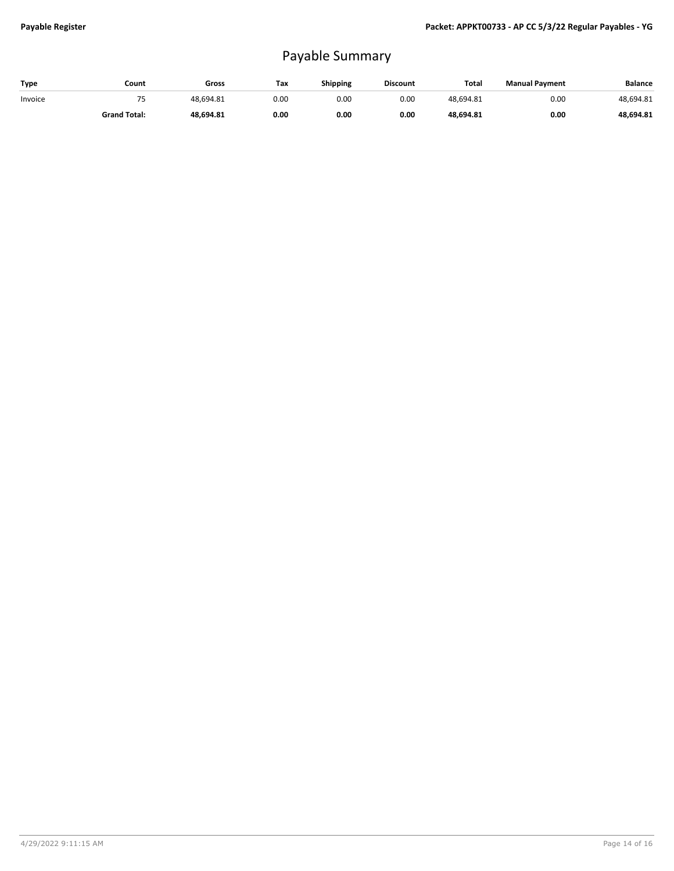## Payable Summary

| Type    | Count               | Gross     | Tax  | Shipping | <b>Discount</b> | <b>Total</b> | <b>Manual Payment</b> | <b>Balance</b> |
|---------|---------------------|-----------|------|----------|-----------------|--------------|-----------------------|----------------|
| Invoice |                     | 48.694.81 | 0.00 | 0.OC     | 0.00            | 48.694.81    | 0.00                  | 48.694.81      |
|         | <b>Grand Total:</b> | 48.694.81 | 0.00 | 0.00     | 0.00            | 48.694.81    | 0.00                  | 48,694.81      |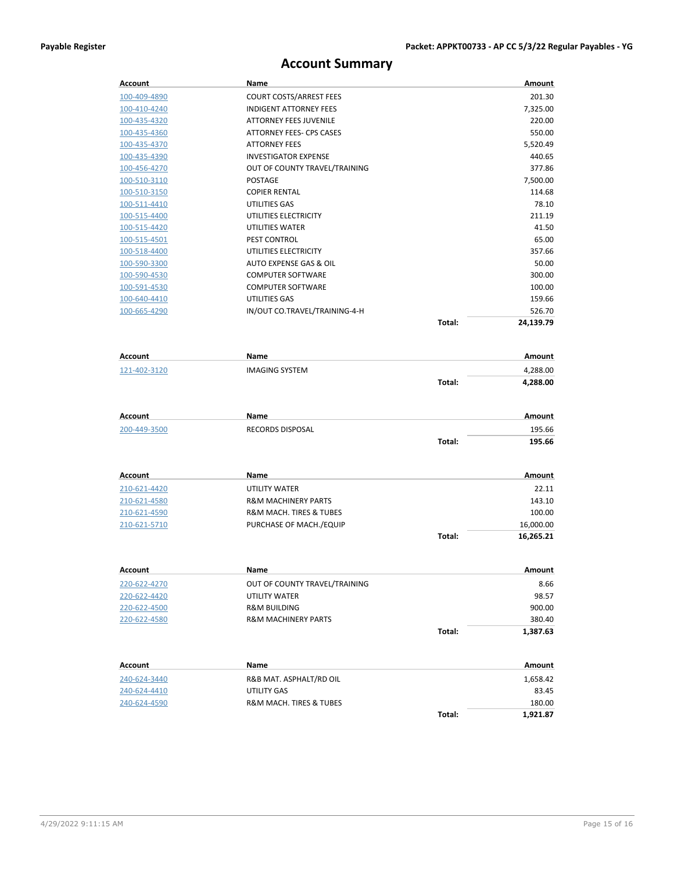## **Account Summary**

| Account             | Name                            |        | <b>Amount</b>      |
|---------------------|---------------------------------|--------|--------------------|
| 100-409-4890        | <b>COURT COSTS/ARREST FEES</b>  |        | 201.30             |
| 100-410-4240        | <b>INDIGENT ATTORNEY FEES</b>   |        | 7,325.00           |
| 100-435-4320        | ATTORNEY FEES JUVENILE          |        | 220.00             |
| 100-435-4360        | <b>ATTORNEY FEES- CPS CASES</b> |        | 550.00             |
| 100-435-4370        | <b>ATTORNEY FEES</b>            |        | 5,520.49           |
| <u>100-435-4390</u> | <b>INVESTIGATOR EXPENSE</b>     |        | 440.65             |
| 100-456-4270        | OUT OF COUNTY TRAVEL/TRAINING   |        | 377.86             |
| 100-510-3110        | POSTAGE                         |        | 7,500.00           |
| 100-510-3150        | <b>COPIER RENTAL</b>            |        | 114.68             |
| 100-511-4410        | UTILITIES GAS                   |        | 78.10              |
| 100-515-4400        | UTILITIES ELECTRICITY           |        | 211.19             |
| 100-515-4420        | UTILITIES WATER                 |        | 41.50              |
| 100-515-4501        | PEST CONTROL                    |        | 65.00              |
| 100-518-4400        | UTILITIES ELECTRICITY           |        | 357.66             |
| 100-590-3300        | AUTO EXPENSE GAS & OIL          |        | 50.00              |
| <u>100-590-4530</u> | <b>COMPUTER SOFTWARE</b>        |        | 300.00             |
| 100-591-4530        | <b>COMPUTER SOFTWARE</b>        |        | 100.00             |
| 100-640-4410        | UTILITIES GAS                   |        | 159.66             |
| 100-665-4290        | IN/OUT CO.TRAVEL/TRAINING-4-H   |        | 526.70             |
|                     |                                 | Total: | 24,139.79          |
|                     |                                 |        |                    |
| Account             | <b>Name</b>                     |        | Amount             |
| 121-402-3120        | <b>IMAGING SYSTEM</b>           |        | 4,288.00           |
|                     |                                 | Total: | 4,288.00           |
|                     |                                 |        |                    |
|                     |                                 |        |                    |
| Account             | Name                            |        | Amount             |
| 200-449-3500        | <b>RECORDS DISPOSAL</b>         |        | 195.66             |
|                     |                                 | Total: | 195.66             |
|                     |                                 |        |                    |
| Account             | Name                            |        | Amount             |
| 210-621-4420        | UTILITY WATER                   |        | 22.11              |
| <u>210-621-4580</u> | <b>R&amp;M MACHINERY PARTS</b>  |        | 143.10             |
| 210-621-4590        | R&M MACH. TIRES & TUBES         |        | 100.00             |
| 210-621-5710        | PURCHASE OF MACH./EQUIP         |        | 16,000.00          |
|                     |                                 | Total: | 16,265.21          |
|                     |                                 |        |                    |
| <b>Account</b>      | Name                            |        | <u>Amount</u>      |
| 220-622-4270        | OUT OF COUNTY TRAVEL/TRAINING   |        | 8.66               |
| 220-622-4420        | UTILITY WATER                   |        | 98.57              |
| 220-622-4500        | <b>R&amp;M BUILDING</b>         |        | 900.00             |
| 220-622-4580        | <b>R&amp;M MACHINERY PARTS</b>  |        | 380.40             |
|                     |                                 | Total: | 1,387.63           |
|                     |                                 |        |                    |
| Account             | Name                            |        | <b>Amount</b>      |
| 240-624-3440        |                                 |        |                    |
|                     |                                 |        |                    |
|                     | R&B MAT. ASPHALT/RD OIL         |        | 1,658.42           |
| 240-624-4410        | UTILITY GAS                     |        | 83.45              |
| 240-624-4590        | R&M MACH. TIRES & TUBES         | Total: | 180.00<br>1,921.87 |